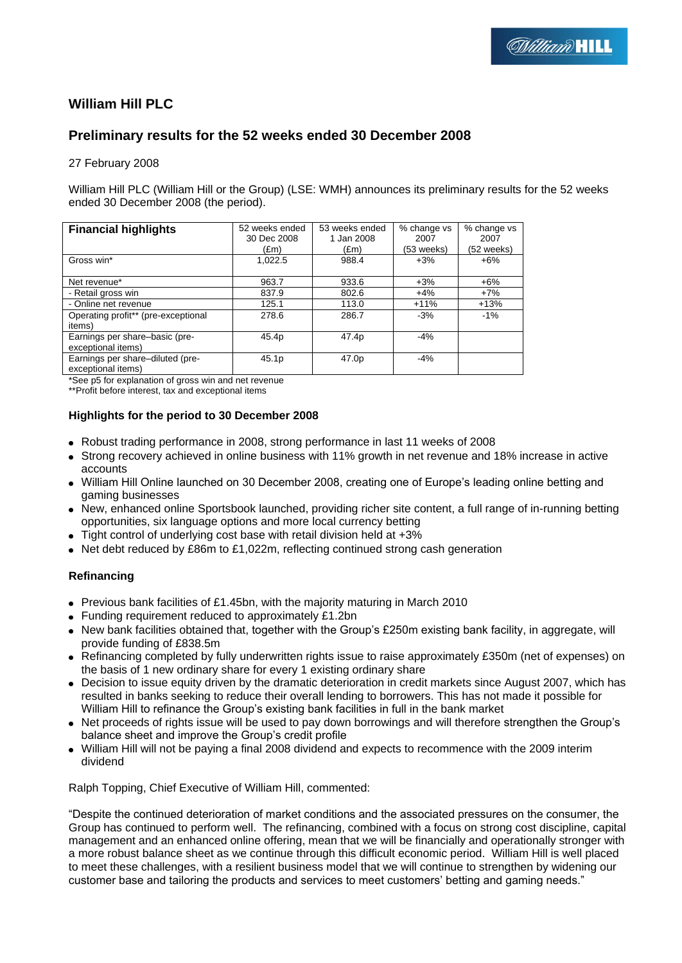# **William Hill PLC**

# **Preliminary results for the 52 weeks ended 30 December 2008**

27 February 2008

William Hill PLC (William Hill or the Group) (LSE: WMH) announces its preliminary results for the 52 weeks ended 30 December 2008 (the period).

| <b>Financial highlights</b>                            | 52 weeks ended<br>30 Dec 2008 | 53 weeks ended<br>1 Jan 2008 | % change vs<br>2007 | % change vs<br>2007 |
|--------------------------------------------------------|-------------------------------|------------------------------|---------------------|---------------------|
|                                                        | (£m)                          | (£m)                         | (53 weeks)          | (52 weeks)          |
| Gross win*                                             | 1.022.5                       | 988.4                        | $+3%$               | $+6\%$              |
| Net revenue*                                           | 963.7                         | 933.6                        | $+3%$               | $+6%$               |
| - Retail gross win                                     | 837.9                         | 802.6                        | $+4%$               | $+7%$               |
| - Online net revenue                                   | 125.1                         | 113.0                        | $+11%$              | $+13%$              |
| Operating profit** (pre-exceptional<br>items)          | 278.6                         | 286.7                        | $-3%$               | $-1\%$              |
| Earnings per share-basic (pre-<br>exceptional items)   | 45.4p                         | 47.4 <sub>p</sub>            | $-4%$               |                     |
| Earnings per share-diluted (pre-<br>exceptional items) | 45.1p                         | 47.0p                        | $-4%$               |                     |

\*See p5 for explanation of gross win and net revenue

\*\*Profit before interest, tax and exceptional items

#### **Highlights for the period to 30 December 2008**

- Robust trading performance in 2008, strong performance in last 11 weeks of 2008
- Strong recovery achieved in online business with 11% growth in net revenue and 18% increase in active accounts
- William Hill Online launched on 30 December 2008, creating one of Europe"s leading online betting and gaming businesses
- New, enhanced online Sportsbook launched, providing richer site content, a full range of in-running betting opportunities, six language options and more local currency betting
- Tight control of underlying cost base with retail division held at +3%
- Net debt reduced by £86m to £1,022m, reflecting continued strong cash generation

## **Refinancing**

- Previous bank facilities of £1.45bn, with the majority maturing in March 2010
- Funding requirement reduced to approximately £1.2bn
- New bank facilities obtained that, together with the Group's £250m existing bank facility, in aggregate, will provide funding of £838.5m
- Refinancing completed by fully underwritten rights issue to raise approximately £350m (net of expenses) on the basis of 1 new ordinary share for every 1 existing ordinary share
- Decision to issue equity driven by the dramatic deterioration in credit markets since August 2007, which has resulted in banks seeking to reduce their overall lending to borrowers. This has not made it possible for William Hill to refinance the Group"s existing bank facilities in full in the bank market
- Net proceeds of rights issue will be used to pay down borrowings and will therefore strengthen the Group's balance sheet and improve the Group"s credit profile
- William Hill will not be paying a final 2008 dividend and expects to recommence with the 2009 interim dividend

Ralph Topping, Chief Executive of William Hill, commented:

"Despite the continued deterioration of market conditions and the associated pressures on the consumer, the Group has continued to perform well. The refinancing, combined with a focus on strong cost discipline, capital management and an enhanced online offering, mean that we will be financially and operationally stronger with a more robust balance sheet as we continue through this difficult economic period. William Hill is well placed to meet these challenges, with a resilient business model that we will continue to strengthen by widening our customer base and tailoring the products and services to meet customers' betting and gaming needs."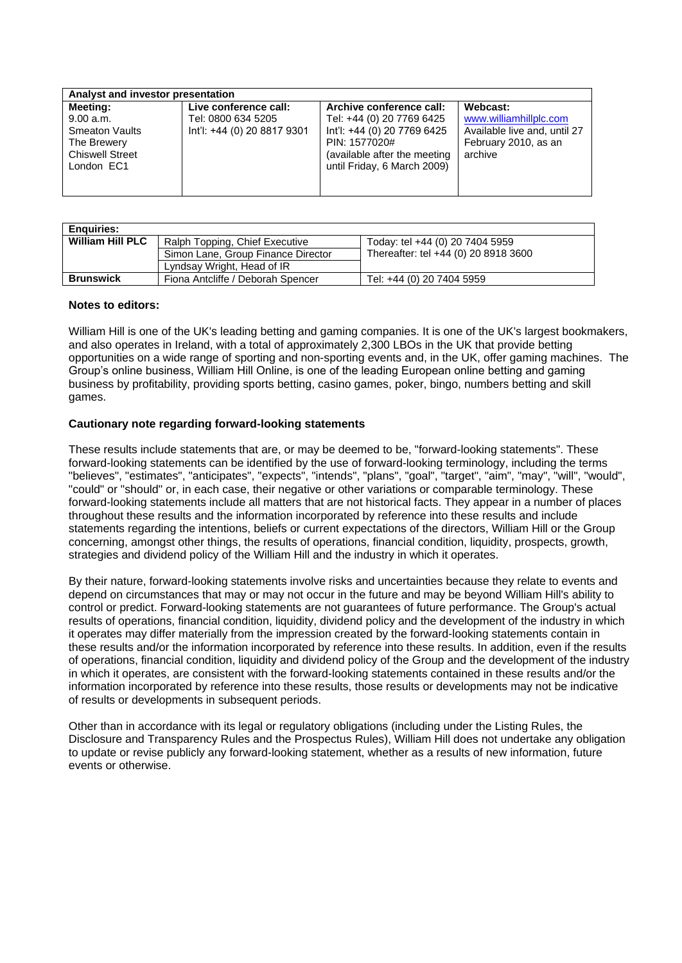| Analyst and investor presentation                                                                     |                                                                            |                                                                                                                                                                      |                                                                                                       |
|-------------------------------------------------------------------------------------------------------|----------------------------------------------------------------------------|----------------------------------------------------------------------------------------------------------------------------------------------------------------------|-------------------------------------------------------------------------------------------------------|
| Meeting:<br>9.00 a.m.<br><b>Smeaton Vaults</b><br>The Brewery<br><b>Chiswell Street</b><br>London EC1 | Live conference call:<br>Tel: 0800 634 5205<br>Int'l: +44 (0) 20 8817 9301 | Archive conference call:<br>Tel: +44 (0) 20 7769 6425<br>Int'l: +44 (0) 20 7769 6425<br>PIN: 1577020#<br>(available after the meeting<br>until Friday, 6 March 2009) | Webcast:<br>www.williamhillplc.com<br>Available live and, until 27<br>February 2010, as an<br>archive |

| <b>Enguiries:</b>       |                                    |                                      |
|-------------------------|------------------------------------|--------------------------------------|
| <b>William Hill PLC</b> | Ralph Topping, Chief Executive     | Today: tel +44 (0) 20 7404 5959      |
|                         | Simon Lane, Group Finance Director | Thereafter: tel +44 (0) 20 8918 3600 |
|                         | Lyndsay Wright, Head of IR         |                                      |
| <b>Brunswick</b>        | Fiona Antcliffe / Deborah Spencer  | Tel: +44 (0) 20 7404 5959            |

#### **Notes to editors:**

William Hill is one of the UK's leading betting and gaming companies. It is one of the UK's largest bookmakers, and also operates in Ireland, with a total of approximately 2,300 LBOs in the UK that provide betting opportunities on a wide range of sporting and non-sporting events and, in the UK, offer gaming machines. The Group"s online business, William Hill Online, is one of the leading European online betting and gaming business by profitability, providing sports betting, casino games, poker, bingo, numbers betting and skill games.

#### **Cautionary note regarding forward-looking statements**

These results include statements that are, or may be deemed to be, "forward-looking statements". These forward-looking statements can be identified by the use of forward-looking terminology, including the terms "believes", "estimates", "anticipates", "expects", "intends", "plans", "goal", "target", "aim", "may", "will", "would", "could" or "should" or, in each case, their negative or other variations or comparable terminology. These forward-looking statements include all matters that are not historical facts. They appear in a number of places throughout these results and the information incorporated by reference into these results and include statements regarding the intentions, beliefs or current expectations of the directors, William Hill or the Group concerning, amongst other things, the results of operations, financial condition, liquidity, prospects, growth, strategies and dividend policy of the William Hill and the industry in which it operates.

By their nature, forward-looking statements involve risks and uncertainties because they relate to events and depend on circumstances that may or may not occur in the future and may be beyond William Hill's ability to control or predict. Forward-looking statements are not guarantees of future performance. The Group's actual results of operations, financial condition, liquidity, dividend policy and the development of the industry in which it operates may differ materially from the impression created by the forward-looking statements contain in these results and/or the information incorporated by reference into these results. In addition, even if the results of operations, financial condition, liquidity and dividend policy of the Group and the development of the industry in which it operates, are consistent with the forward-looking statements contained in these results and/or the information incorporated by reference into these results, those results or developments may not be indicative of results or developments in subsequent periods.

Other than in accordance with its legal or regulatory obligations (including under the Listing Rules, the Disclosure and Transparency Rules and the Prospectus Rules), William Hill does not undertake any obligation to update or revise publicly any forward-looking statement, whether as a results of new information, future events or otherwise.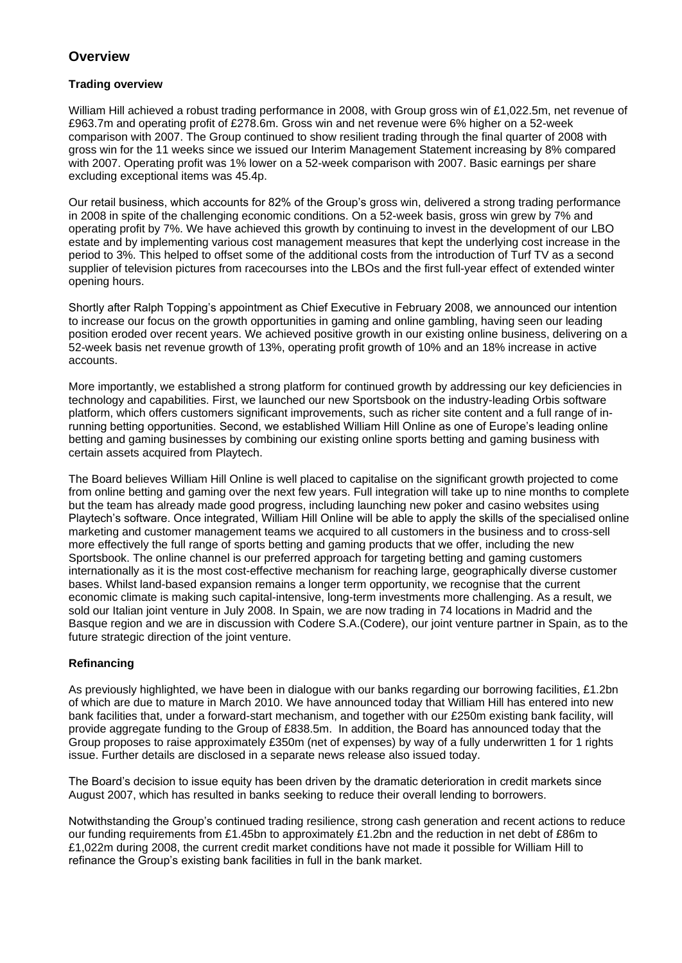# **Overview**

## **Trading overview**

William Hill achieved a robust trading performance in 2008, with Group gross win of £1,022.5m, net revenue of £963.7m and operating profit of £278.6m. Gross win and net revenue were 6% higher on a 52-week comparison with 2007. The Group continued to show resilient trading through the final quarter of 2008 with gross win for the 11 weeks since we issued our Interim Management Statement increasing by 8% compared with 2007. Operating profit was 1% lower on a 52-week comparison with 2007. Basic earnings per share excluding exceptional items was 45.4p.

Our retail business, which accounts for 82% of the Group"s gross win, delivered a strong trading performance in 2008 in spite of the challenging economic conditions. On a 52-week basis, gross win grew by 7% and operating profit by 7%. We have achieved this growth by continuing to invest in the development of our LBO estate and by implementing various cost management measures that kept the underlying cost increase in the period to 3%. This helped to offset some of the additional costs from the introduction of Turf TV as a second supplier of television pictures from racecourses into the LBOs and the first full-year effect of extended winter opening hours.

Shortly after Ralph Topping"s appointment as Chief Executive in February 2008, we announced our intention to increase our focus on the growth opportunities in gaming and online gambling, having seen our leading position eroded over recent years. We achieved positive growth in our existing online business, delivering on a 52-week basis net revenue growth of 13%, operating profit growth of 10% and an 18% increase in active accounts.

More importantly, we established a strong platform for continued growth by addressing our key deficiencies in technology and capabilities. First, we launched our new Sportsbook on the industry-leading Orbis software platform, which offers customers significant improvements, such as richer site content and a full range of inrunning betting opportunities. Second, we established William Hill Online as one of Europe"s leading online betting and gaming businesses by combining our existing online sports betting and gaming business with certain assets acquired from Playtech.

The Board believes William Hill Online is well placed to capitalise on the significant growth projected to come from online betting and gaming over the next few years. Full integration will take up to nine months to complete but the team has already made good progress, including launching new poker and casino websites using Playtech's software. Once integrated, William Hill Online will be able to apply the skills of the specialised online marketing and customer management teams we acquired to all customers in the business and to cross-sell more effectively the full range of sports betting and gaming products that we offer, including the new Sportsbook. The online channel is our preferred approach for targeting betting and gaming customers internationally as it is the most cost-effective mechanism for reaching large, geographically diverse customer bases. Whilst land-based expansion remains a longer term opportunity, we recognise that the current economic climate is making such capital-intensive, long-term investments more challenging. As a result, we sold our Italian joint venture in July 2008. In Spain, we are now trading in 74 locations in Madrid and the Basque region and we are in discussion with Codere S.A.(Codere), our joint venture partner in Spain, as to the future strategic direction of the joint venture.

## **Refinancing**

As previously highlighted, we have been in dialogue with our banks regarding our borrowing facilities, £1.2bn of which are due to mature in March 2010. We have announced today that William Hill has entered into new bank facilities that, under a forward-start mechanism, and together with our £250m existing bank facility, will provide aggregate funding to the Group of £838.5m. In addition, the Board has announced today that the Group proposes to raise approximately £350m (net of expenses) by way of a fully underwritten 1 for 1 rights issue. Further details are disclosed in a separate news release also issued today.

The Board"s decision to issue equity has been driven by the dramatic deterioration in credit markets since August 2007, which has resulted in banks seeking to reduce their overall lending to borrowers.

Notwithstanding the Group"s continued trading resilience, strong cash generation and recent actions to reduce our funding requirements from £1.45bn to approximately £1.2bn and the reduction in net debt of £86m to £1,022m during 2008, the current credit market conditions have not made it possible for William Hill to refinance the Group"s existing bank facilities in full in the bank market.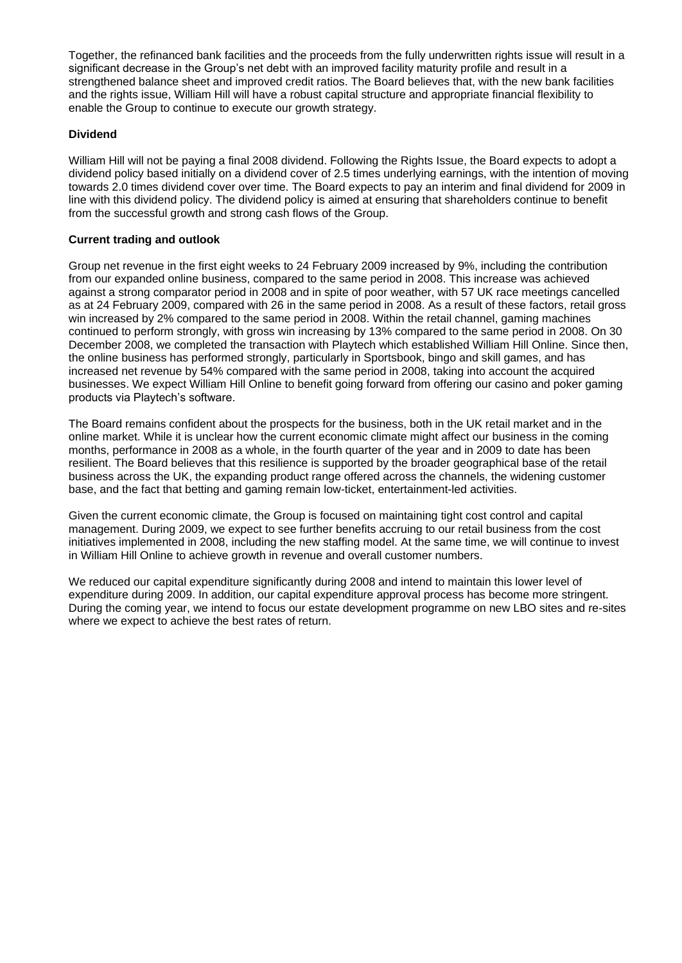Together, the refinanced bank facilities and the proceeds from the fully underwritten rights issue will result in a significant decrease in the Group's net debt with an improved facility maturity profile and result in a strengthened balance sheet and improved credit ratios. The Board believes that, with the new bank facilities and the rights issue, William Hill will have a robust capital structure and appropriate financial flexibility to enable the Group to continue to execute our growth strategy.

## **Dividend**

William Hill will not be paying a final 2008 dividend. Following the Rights Issue, the Board expects to adopt a dividend policy based initially on a dividend cover of 2.5 times underlying earnings, with the intention of moving towards 2.0 times dividend cover over time. The Board expects to pay an interim and final dividend for 2009 in line with this dividend policy. The dividend policy is aimed at ensuring that shareholders continue to benefit from the successful growth and strong cash flows of the Group.

## **Current trading and outlook**

Group net revenue in the first eight weeks to 24 February 2009 increased by 9%, including the contribution from our expanded online business, compared to the same period in 2008. This increase was achieved against a strong comparator period in 2008 and in spite of poor weather, with 57 UK race meetings cancelled as at 24 February 2009, compared with 26 in the same period in 2008. As a result of these factors, retail gross win increased by 2% compared to the same period in 2008. Within the retail channel, gaming machines continued to perform strongly, with gross win increasing by 13% compared to the same period in 2008. On 30 December 2008, we completed the transaction with Playtech which established William Hill Online. Since then, the online business has performed strongly, particularly in Sportsbook, bingo and skill games, and has increased net revenue by 54% compared with the same period in 2008, taking into account the acquired businesses. We expect William Hill Online to benefit going forward from offering our casino and poker gaming products via Playtech's software.

The Board remains confident about the prospects for the business, both in the UK retail market and in the online market. While it is unclear how the current economic climate might affect our business in the coming months, performance in 2008 as a whole, in the fourth quarter of the year and in 2009 to date has been resilient. The Board believes that this resilience is supported by the broader geographical base of the retail business across the UK, the expanding product range offered across the channels, the widening customer base, and the fact that betting and gaming remain low-ticket, entertainment-led activities.

Given the current economic climate, the Group is focused on maintaining tight cost control and capital management. During 2009, we expect to see further benefits accruing to our retail business from the cost initiatives implemented in 2008, including the new staffing model. At the same time, we will continue to invest in William Hill Online to achieve growth in revenue and overall customer numbers.

We reduced our capital expenditure significantly during 2008 and intend to maintain this lower level of expenditure during 2009. In addition, our capital expenditure approval process has become more stringent. During the coming year, we intend to focus our estate development programme on new LBO sites and re-sites where we expect to achieve the best rates of return.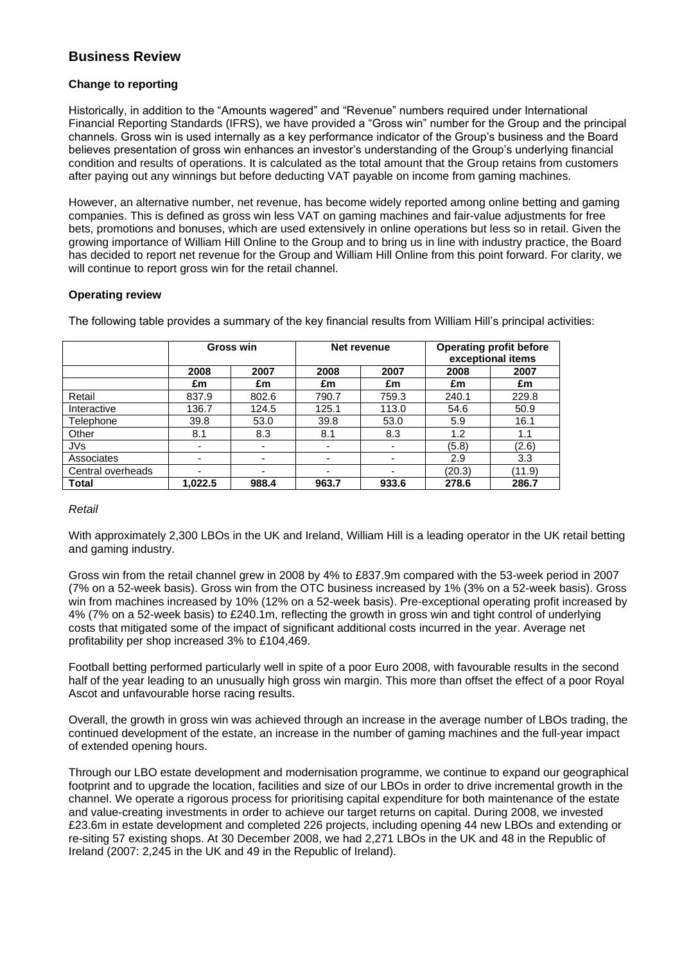# **Business Review**

## **Change to reporting**

Historically, in addition to the "Amounts wagered" and "Revenue" numbers required under International Financial Reporting Standards (IFRS), we have provided a "Gross win" number for the Group and the principal channels. Gross win is used internally as a key performance indicator of the Group"s business and the Board believes presentation of gross win enhances an investor"s understanding of the Group"s underlying financial condition and results of operations. It is calculated as the total amount that the Group retains from customers after paying out any winnings but before deducting VAT payable on income from gaming machines.

However, an alternative number, net revenue, has become widely reported among online betting and gaming companies. This is defined as gross win less VAT on gaming machines and fair-value adjustments for free bets, promotions and bonuses, which are used extensively in online operations but less so in retail. Given the growing importance of William Hill Online to the Group and to bring us in line with industry practice, the Board has decided to report net revenue for the Group and William Hill Online from this point forward. For clarity, we will continue to report gross win for the retail channel.

## **Operating review**

The following table provides a summary of the key financial results from William Hill"s principal activities:

|                   |                          | <b>Gross win</b>         | Net revenue |                          | <b>Operating profit before</b><br>exceptional items |        |
|-------------------|--------------------------|--------------------------|-------------|--------------------------|-----------------------------------------------------|--------|
|                   | 2008                     | 2007                     | 2008        | 2007                     | 2008                                                | 2007   |
|                   | £m                       | £m                       | £m          | £m                       | £m                                                  | £m     |
| Retail            | 837.9                    | 802.6                    | 790.7       | 759.3                    | 240.1                                               | 229.8  |
| Interactive       | 136.7                    | 124.5                    | 125.1       | 113.0                    | 54.6                                                | 50.9   |
| Telephone         | 39.8                     | 53.0                     | 39.8        | 53.0                     | 5.9                                                 | 16.1   |
| Other             | 8.1                      | 8.3                      | 8.1         | 8.3                      | 1.2                                                 | 1.1    |
| JVs               | $\overline{\phantom{a}}$ | ٠                        | ٠           | $\overline{\phantom{0}}$ | (5.8)                                               | (2.6)  |
| Associates        | ۰                        | $\overline{\phantom{0}}$ | -           | $\overline{\phantom{0}}$ | 2.9                                                 | 3.3    |
| Central overheads | $\overline{\phantom{0}}$ | $\overline{\phantom{0}}$ | -           | $\overline{\phantom{0}}$ | (20.3)                                              | (11.9) |
| <b>Total</b>      | 1.022.5                  | 988.4                    | 963.7       | 933.6                    | 278.6                                               | 286.7  |

## *Retail*

With approximately 2,300 LBOs in the UK and Ireland, William Hill is a leading operator in the UK retail betting and gaming industry.

Gross win from the retail channel grew in 2008 by 4% to £837.9m compared with the 53-week period in 2007 (7% on a 52-week basis). Gross win from the OTC business increased by 1% (3% on a 52-week basis). Gross win from machines increased by 10% (12% on a 52-week basis). Pre-exceptional operating profit increased by 4% (7% on a 52-week basis) to £240.1m, reflecting the growth in gross win and tight control of underlying costs that mitigated some of the impact of significant additional costs incurred in the year. Average net profitability per shop increased 3% to £104,469.

Football betting performed particularly well in spite of a poor Euro 2008, with favourable results in the second half of the year leading to an unusually high gross win margin. This more than offset the effect of a poor Royal Ascot and unfavourable horse racing results.

Overall, the growth in gross win was achieved through an increase in the average number of LBOs trading, the continued development of the estate, an increase in the number of gaming machines and the full-year impact of extended opening hours.

Through our LBO estate development and modernisation programme, we continue to expand our geographical footprint and to upgrade the location, facilities and size of our LBOs in order to drive incremental growth in the channel. We operate a rigorous process for prioritising capital expenditure for both maintenance of the estate and value-creating investments in order to achieve our target returns on capital. During 2008, we invested £23.6m in estate development and completed 226 projects, including opening 44 new LBOs and extending or re-siting 57 existing shops. At 30 December 2008, we had 2,271 LBOs in the UK and 48 in the Republic of Ireland (2007: 2,245 in the UK and 49 in the Republic of Ireland).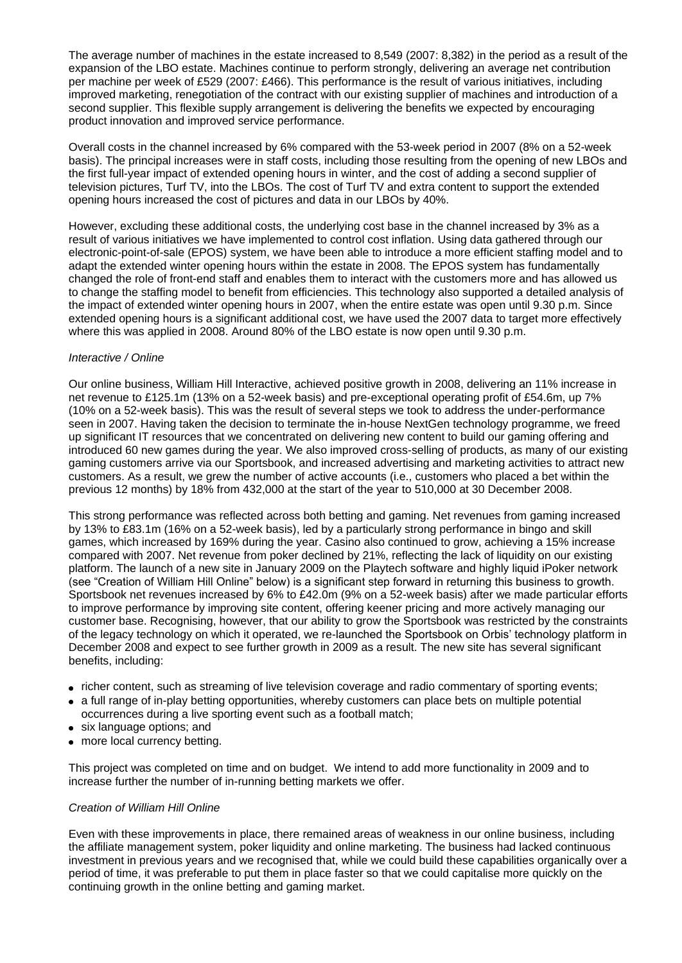The average number of machines in the estate increased to 8,549 (2007: 8,382) in the period as a result of the expansion of the LBO estate. Machines continue to perform strongly, delivering an average net contribution per machine per week of £529 (2007: £466). This performance is the result of various initiatives, including improved marketing, renegotiation of the contract with our existing supplier of machines and introduction of a second supplier. This flexible supply arrangement is delivering the benefits we expected by encouraging product innovation and improved service performance.

Overall costs in the channel increased by 6% compared with the 53-week period in 2007 (8% on a 52-week basis). The principal increases were in staff costs, including those resulting from the opening of new LBOs and the first full-year impact of extended opening hours in winter, and the cost of adding a second supplier of television pictures, Turf TV, into the LBOs. The cost of Turf TV and extra content to support the extended opening hours increased the cost of pictures and data in our LBOs by 40%.

However, excluding these additional costs, the underlying cost base in the channel increased by 3% as a result of various initiatives we have implemented to control cost inflation. Using data gathered through our electronic-point-of-sale (EPOS) system, we have been able to introduce a more efficient staffing model and to adapt the extended winter opening hours within the estate in 2008. The EPOS system has fundamentally changed the role of front-end staff and enables them to interact with the customers more and has allowed us to change the staffing model to benefit from efficiencies. This technology also supported a detailed analysis of the impact of extended winter opening hours in 2007, when the entire estate was open until 9.30 p.m. Since extended opening hours is a significant additional cost, we have used the 2007 data to target more effectively where this was applied in 2008. Around 80% of the LBO estate is now open until 9.30 p.m.

#### *Interactive / Online*

Our online business, William Hill Interactive, achieved positive growth in 2008, delivering an 11% increase in net revenue to £125.1m (13% on a 52-week basis) and pre-exceptional operating profit of £54.6m, up 7% (10% on a 52-week basis). This was the result of several steps we took to address the under-performance seen in 2007. Having taken the decision to terminate the in-house NextGen technology programme, we freed up significant IT resources that we concentrated on delivering new content to build our gaming offering and introduced 60 new games during the year. We also improved cross-selling of products, as many of our existing gaming customers arrive via our Sportsbook, and increased advertising and marketing activities to attract new customers. As a result, we grew the number of active accounts (i.e., customers who placed a bet within the previous 12 months) by 18% from 432,000 at the start of the year to 510,000 at 30 December 2008.

This strong performance was reflected across both betting and gaming. Net revenues from gaming increased by 13% to £83.1m (16% on a 52-week basis), led by a particularly strong performance in bingo and skill games, which increased by 169% during the year. Casino also continued to grow, achieving a 15% increase compared with 2007. Net revenue from poker declined by 21%, reflecting the lack of liquidity on our existing platform. The launch of a new site in January 2009 on the Playtech software and highly liquid iPoker network (see "Creation of William Hill Online" below) is a significant step forward in returning this business to growth. Sportsbook net revenues increased by 6% to £42.0m (9% on a 52-week basis) after we made particular efforts to improve performance by improving site content, offering keener pricing and more actively managing our customer base. Recognising, however, that our ability to grow the Sportsbook was restricted by the constraints of the legacy technology on which it operated, we re-launched the Sportsbook on Orbis" technology platform in December 2008 and expect to see further growth in 2009 as a result. The new site has several significant benefits, including:

- richer content, such as streaming of live television coverage and radio commentary of sporting events;
- a full range of in-play betting opportunities, whereby customers can place bets on multiple potential occurrences during a live sporting event such as a football match;
- six language options; and
- more local currency betting.

This project was completed on time and on budget. We intend to add more functionality in 2009 and to increase further the number of in-running betting markets we offer.

#### *Creation of William Hill Online*

Even with these improvements in place, there remained areas of weakness in our online business, including the affiliate management system, poker liquidity and online marketing. The business had lacked continuous investment in previous years and we recognised that, while we could build these capabilities organically over a period of time, it was preferable to put them in place faster so that we could capitalise more quickly on the continuing growth in the online betting and gaming market.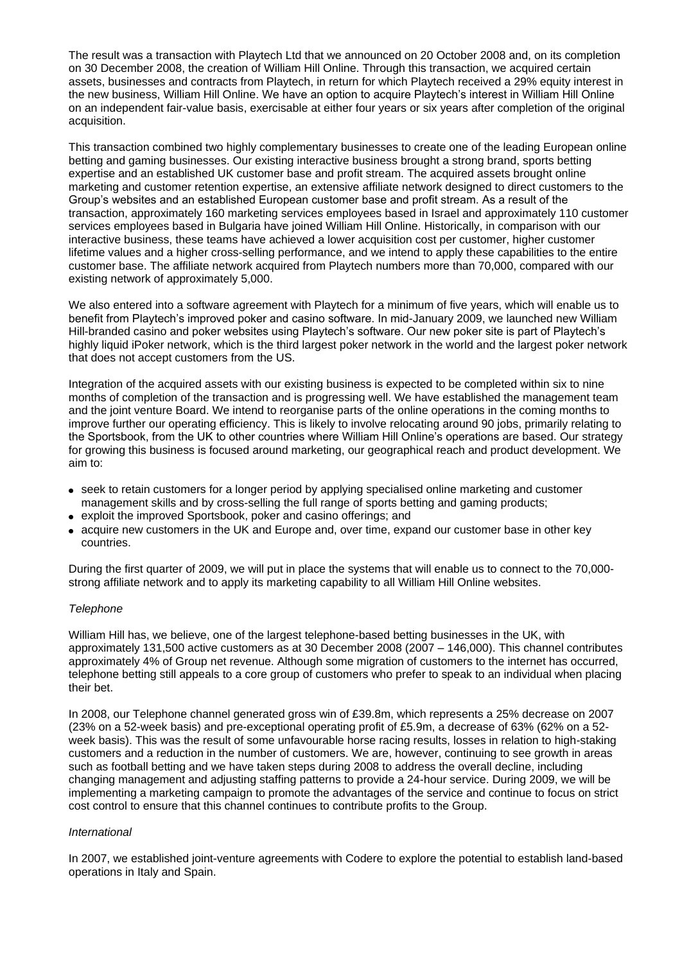The result was a transaction with Playtech Ltd that we announced on 20 October 2008 and, on its completion on 30 December 2008, the creation of William Hill Online. Through this transaction, we acquired certain assets, businesses and contracts from Playtech, in return for which Playtech received a 29% equity interest in the new business, William Hill Online. We have an option to acquire Playtech"s interest in William Hill Online on an independent fair-value basis, exercisable at either four years or six years after completion of the original acquisition.

This transaction combined two highly complementary businesses to create one of the leading European online betting and gaming businesses. Our existing interactive business brought a strong brand, sports betting expertise and an established UK customer base and profit stream. The acquired assets brought online marketing and customer retention expertise, an extensive affiliate network designed to direct customers to the Group"s websites and an established European customer base and profit stream. As a result of the transaction, approximately 160 marketing services employees based in Israel and approximately 110 customer services employees based in Bulgaria have joined William Hill Online. Historically, in comparison with our interactive business, these teams have achieved a lower acquisition cost per customer, higher customer lifetime values and a higher cross-selling performance, and we intend to apply these capabilities to the entire customer base. The affiliate network acquired from Playtech numbers more than 70,000, compared with our existing network of approximately 5,000.

We also entered into a software agreement with Playtech for a minimum of five years, which will enable us to benefit from Playtech"s improved poker and casino software. In mid-January 2009, we launched new William Hill-branded casino and poker websites using Playtech's software. Our new poker site is part of Playtech's highly liquid iPoker network, which is the third largest poker network in the world and the largest poker network that does not accept customers from the US.

Integration of the acquired assets with our existing business is expected to be completed within six to nine months of completion of the transaction and is progressing well. We have established the management team and the joint venture Board. We intend to reorganise parts of the online operations in the coming months to improve further our operating efficiency. This is likely to involve relocating around 90 jobs, primarily relating to the Sportsbook, from the UK to other countries where William Hill Online"s operations are based. Our strategy for growing this business is focused around marketing, our geographical reach and product development. We aim to:

- seek to retain customers for a longer period by applying specialised online marketing and customer management skills and by cross-selling the full range of sports betting and gaming products;
- exploit the improved Sportsbook, poker and casino offerings; and
- acquire new customers in the UK and Europe and, over time, expand our customer base in other key countries.

During the first quarter of 2009, we will put in place the systems that will enable us to connect to the 70,000 strong affiliate network and to apply its marketing capability to all William Hill Online websites.

#### *Telephone*

William Hill has, we believe, one of the largest telephone-based betting businesses in the UK, with approximately 131,500 active customers as at 30 December 2008 (2007 – 146,000). This channel contributes approximately 4% of Group net revenue. Although some migration of customers to the internet has occurred, telephone betting still appeals to a core group of customers who prefer to speak to an individual when placing their bet.

In 2008, our Telephone channel generated gross win of £39.8m, which represents a 25% decrease on 2007 (23% on a 52-week basis) and pre-exceptional operating profit of £5.9m, a decrease of 63% (62% on a 52 week basis). This was the result of some unfavourable horse racing results, losses in relation to high-staking customers and a reduction in the number of customers. We are, however, continuing to see growth in areas such as football betting and we have taken steps during 2008 to address the overall decline, including changing management and adjusting staffing patterns to provide a 24-hour service. During 2009, we will be implementing a marketing campaign to promote the advantages of the service and continue to focus on strict cost control to ensure that this channel continues to contribute profits to the Group.

#### *International*

In 2007, we established joint-venture agreements with Codere to explore the potential to establish land-based operations in Italy and Spain.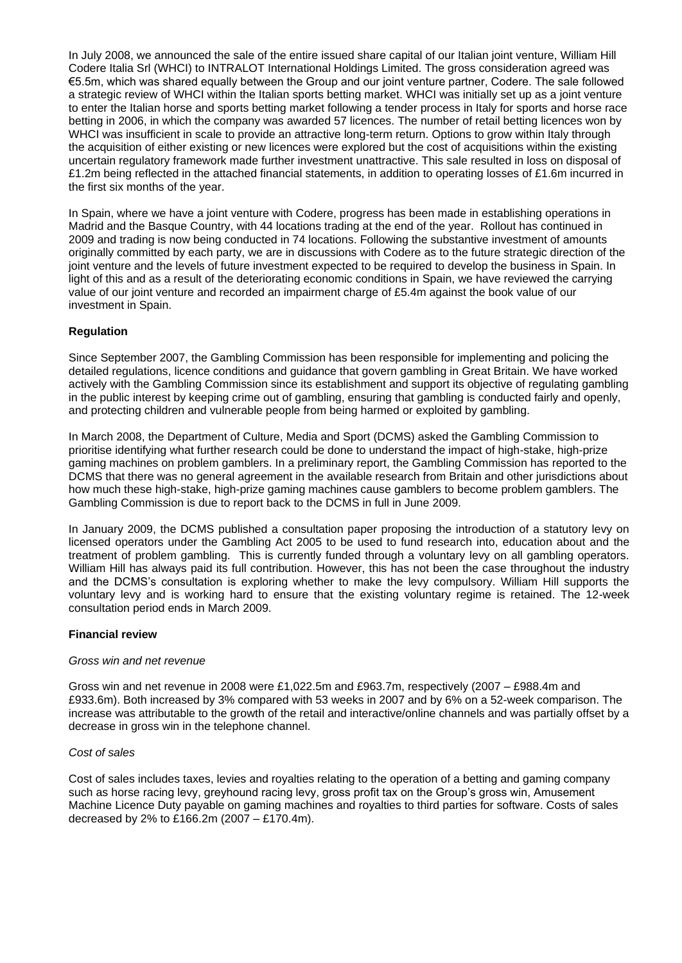In July 2008, we announced the sale of the entire issued share capital of our Italian joint venture, William Hill Codere Italia Srl (WHCI) to INTRALOT International Holdings Limited. The gross consideration agreed was €5.5m, which was shared equally between the Group and our joint venture partner, Codere. The sale followed a strategic review of WHCI within the Italian sports betting market. WHCI was initially set up as a joint venture to enter the Italian horse and sports betting market following a tender process in Italy for sports and horse race betting in 2006, in which the company was awarded 57 licences. The number of retail betting licences won by WHCI was insufficient in scale to provide an attractive long-term return. Options to grow within Italy through the acquisition of either existing or new licences were explored but the cost of acquisitions within the existing uncertain regulatory framework made further investment unattractive. This sale resulted in loss on disposal of £1.2m being reflected in the attached financial statements, in addition to operating losses of £1.6m incurred in the first six months of the year.

In Spain, where we have a joint venture with Codere, progress has been made in establishing operations in Madrid and the Basque Country, with 44 locations trading at the end of the year. Rollout has continued in 2009 and trading is now being conducted in 74 locations. Following the substantive investment of amounts originally committed by each party, we are in discussions with Codere as to the future strategic direction of the joint venture and the levels of future investment expected to be required to develop the business in Spain. In light of this and as a result of the deteriorating economic conditions in Spain, we have reviewed the carrying value of our joint venture and recorded an impairment charge of £5.4m against the book value of our investment in Spain.

## **Regulation**

Since September 2007, the Gambling Commission has been responsible for implementing and policing the detailed regulations, licence conditions and guidance that govern gambling in Great Britain. We have worked actively with the Gambling Commission since its establishment and support its objective of regulating gambling in the public interest by keeping crime out of gambling, ensuring that gambling is conducted fairly and openly, and protecting children and vulnerable people from being harmed or exploited by gambling.

In March 2008, the Department of Culture, Media and Sport (DCMS) asked the Gambling Commission to prioritise identifying what further research could be done to understand the impact of high-stake, high-prize gaming machines on problem gamblers. In a preliminary report, the Gambling Commission has reported to the DCMS that there was no general agreement in the available research from Britain and other jurisdictions about how much these high-stake, high-prize gaming machines cause gamblers to become problem gamblers. The Gambling Commission is due to report back to the DCMS in full in June 2009.

In January 2009, the DCMS published a consultation paper proposing the introduction of a statutory levy on licensed operators under the Gambling Act 2005 to be used to fund research into, education about and the treatment of problem gambling. This is currently funded through a voluntary levy on all gambling operators. William Hill has always paid its full contribution. However, this has not been the case throughout the industry and the DCMS"s consultation is exploring whether to make the levy compulsory. William Hill supports the voluntary levy and is working hard to ensure that the existing voluntary regime is retained. The 12-week consultation period ends in March 2009.

## **Financial review**

#### *Gross win and net revenue*

Gross win and net revenue in 2008 were £1,022.5m and £963.7m, respectively (2007 – £988.4m and £933.6m). Both increased by 3% compared with 53 weeks in 2007 and by 6% on a 52-week comparison. The increase was attributable to the growth of the retail and interactive/online channels and was partially offset by a decrease in gross win in the telephone channel.

#### *Cost of sales*

Cost of sales includes taxes, levies and royalties relating to the operation of a betting and gaming company such as horse racing levy, greyhound racing levy, gross profit tax on the Group"s gross win, Amusement Machine Licence Duty payable on gaming machines and royalties to third parties for software. Costs of sales decreased by 2% to £166.2m (2007 – £170.4m).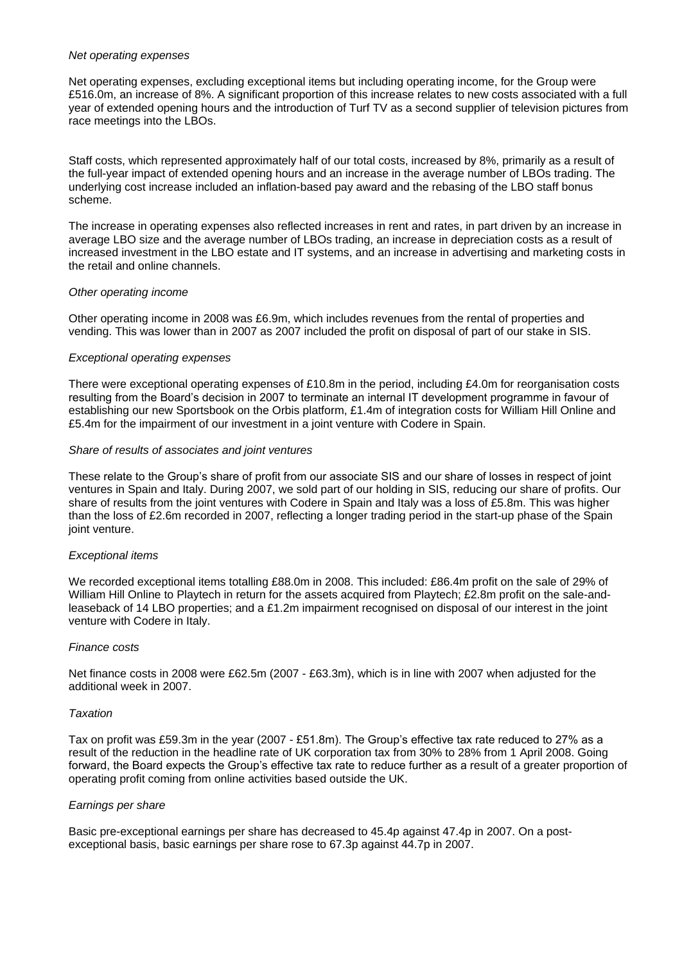#### *Net operating expenses*

Net operating expenses, excluding exceptional items but including operating income, for the Group were £516.0m, an increase of 8%. A significant proportion of this increase relates to new costs associated with a full year of extended opening hours and the introduction of Turf TV as a second supplier of television pictures from race meetings into the LBOs.

Staff costs, which represented approximately half of our total costs, increased by 8%, primarily as a result of the full-year impact of extended opening hours and an increase in the average number of LBOs trading. The underlying cost increase included an inflation-based pay award and the rebasing of the LBO staff bonus scheme.

The increase in operating expenses also reflected increases in rent and rates, in part driven by an increase in average LBO size and the average number of LBOs trading, an increase in depreciation costs as a result of increased investment in the LBO estate and IT systems, and an increase in advertising and marketing costs in the retail and online channels.

#### *Other operating income*

Other operating income in 2008 was £6.9m, which includes revenues from the rental of properties and vending. This was lower than in 2007 as 2007 included the profit on disposal of part of our stake in SIS.

#### *Exceptional operating expenses*

There were exceptional operating expenses of £10.8m in the period, including £4.0m for reorganisation costs resulting from the Board"s decision in 2007 to terminate an internal IT development programme in favour of establishing our new Sportsbook on the Orbis platform, £1.4m of integration costs for William Hill Online and £5.4m for the impairment of our investment in a joint venture with Codere in Spain.

#### *Share of results of associates and joint ventures*

These relate to the Group"s share of profit from our associate SIS and our share of losses in respect of joint ventures in Spain and Italy. During 2007, we sold part of our holding in SIS, reducing our share of profits. Our share of results from the joint ventures with Codere in Spain and Italy was a loss of £5.8m. This was higher than the loss of £2.6m recorded in 2007, reflecting a longer trading period in the start-up phase of the Spain joint venture.

#### *Exceptional items*

We recorded exceptional items totalling £88.0m in 2008. This included: £86.4m profit on the sale of 29% of William Hill Online to Playtech in return for the assets acquired from Playtech; £2.8m profit on the sale-andleaseback of 14 LBO properties; and a £1.2m impairment recognised on disposal of our interest in the joint venture with Codere in Italy.

#### *Finance costs*

Net finance costs in 2008 were £62.5m (2007 - £63.3m), which is in line with 2007 when adjusted for the additional week in 2007.

#### *Taxation*

Tax on profit was £59.3m in the year (2007 - £51.8m). The Group"s effective tax rate reduced to 27% as a result of the reduction in the headline rate of UK corporation tax from 30% to 28% from 1 April 2008. Going forward, the Board expects the Group"s effective tax rate to reduce further as a result of a greater proportion of operating profit coming from online activities based outside the UK.

#### *Earnings per share*

Basic pre-exceptional earnings per share has decreased to 45.4p against 47.4p in 2007. On a postexceptional basis, basic earnings per share rose to 67.3p against 44.7p in 2007.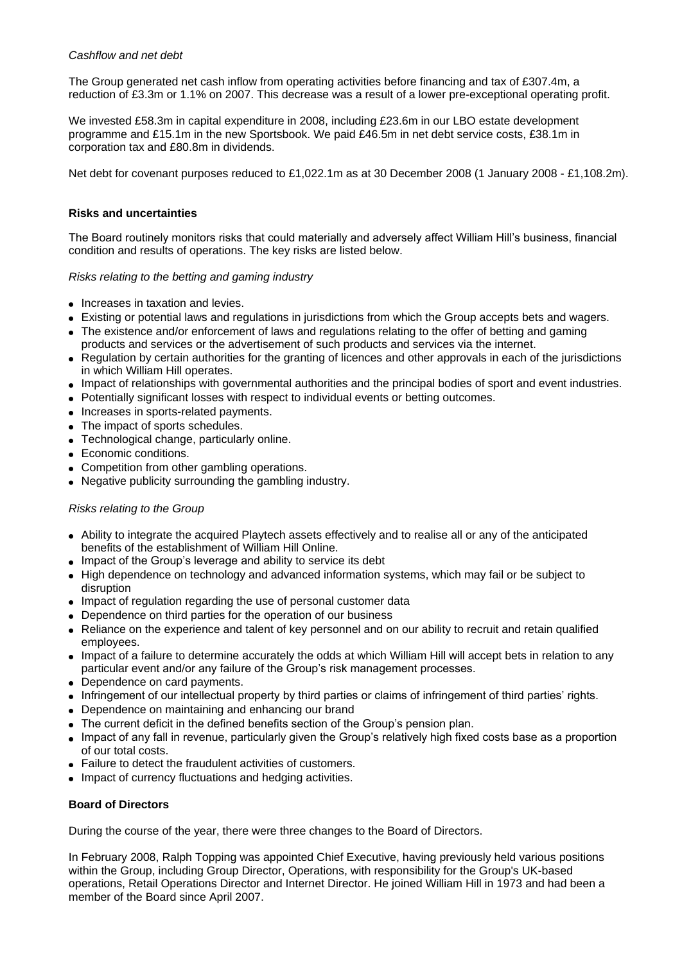#### *Cashflow and net debt*

The Group generated net cash inflow from operating activities before financing and tax of £307.4m, a reduction of £3.3m or 1.1% on 2007. This decrease was a result of a lower pre-exceptional operating profit.

We invested £58.3m in capital expenditure in 2008, including £23.6m in our LBO estate development programme and £15.1m in the new Sportsbook. We paid £46.5m in net debt service costs, £38.1m in corporation tax and £80.8m in dividends.

Net debt for covenant purposes reduced to £1,022.1m as at 30 December 2008 (1 January 2008 - £1,108.2m).

### **Risks and uncertainties**

The Board routinely monitors risks that could materially and adversely affect William Hill"s business, financial condition and results of operations. The key risks are listed below.

#### *Risks relating to the betting and gaming industry*

- Increases in taxation and levies.
- Existing or potential laws and regulations in jurisdictions from which the Group accepts bets and wagers.
- The existence and/or enforcement of laws and regulations relating to the offer of betting and gaming products and services or the advertisement of such products and services via the internet.
- Regulation by certain authorities for the granting of licences and other approvals in each of the jurisdictions in which William Hill operates.
- Impact of relationships with governmental authorities and the principal bodies of sport and event industries.
- Potentially significant losses with respect to individual events or betting outcomes.
- Increases in sports-related payments.
- The impact of sports schedules.
- Technological change, particularly online.
- Economic conditions.
- Competition from other gambling operations.
- Negative publicity surrounding the gambling industry.

## *Risks relating to the Group*

- Ability to integrate the acquired Playtech assets effectively and to realise all or any of the anticipated benefits of the establishment of William Hill Online.
- Impact of the Group's leverage and ability to service its debt
- High dependence on technology and advanced information systems, which may fail or be subject to disruption
- Impact of regulation regarding the use of personal customer data
- Dependence on third parties for the operation of our business
- Reliance on the experience and talent of key personnel and on our ability to recruit and retain qualified employees.
- Impact of a failure to determine accurately the odds at which William Hill will accept bets in relation to any particular event and/or any failure of the Group's risk management processes.
- Dependence on card payments.
- Infringement of our intellectual property by third parties or claims of infringement of third parties" rights.
- Dependence on maintaining and enhancing our brand
- The current deficit in the defined benefits section of the Group"s pension plan.
- Impact of any fall in revenue, particularly given the Group"s relatively high fixed costs base as a proportion of our total costs.
- Failure to detect the fraudulent activities of customers.
- Impact of currency fluctuations and hedging activities.

#### **Board of Directors**

During the course of the year, there were three changes to the Board of Directors.

In February 2008, Ralph Topping was appointed Chief Executive, having previously held various positions within the Group, including Group Director, Operations, with responsibility for the Group's UK-based operations, Retail Operations Director and Internet Director. He joined William Hill in 1973 and had been a member of the Board since April 2007.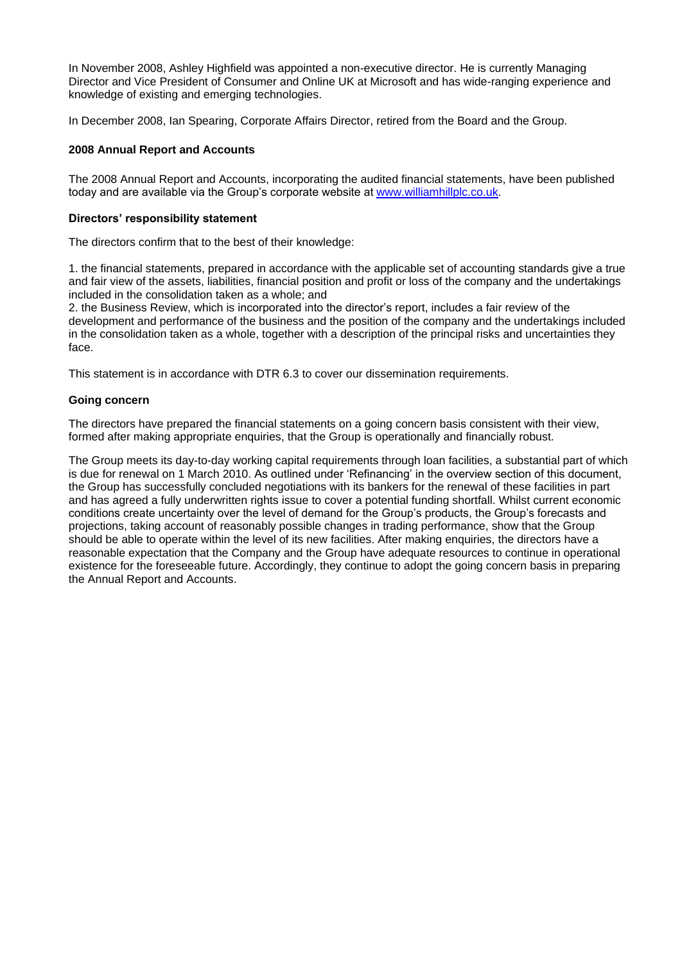In November 2008, Ashley Highfield was appointed a non-executive director. He is currently Managing Director and Vice President of Consumer and Online UK at Microsoft and has wide-ranging experience and knowledge of existing and emerging technologies.

In December 2008, Ian Spearing, Corporate Affairs Director, retired from the Board and the Group.

#### **2008 Annual Report and Accounts**

The 2008 Annual Report and Accounts, incorporating the audited financial statements, have been published today and are available via the Group"s corporate website at [www.williamhillplc.co.uk.](http://www.williamhillplc.co.uk/)

#### **Directors' responsibility statement**

The directors confirm that to the best of their knowledge:

1. the financial statements, prepared in accordance with the applicable set of accounting standards give a true and fair view of the assets, liabilities, financial position and profit or loss of the company and the undertakings included in the consolidation taken as a whole; and

2. the Business Review, which is incorporated into the director"s report, includes a fair review of the development and performance of the business and the position of the company and the undertakings included in the consolidation taken as a whole, together with a description of the principal risks and uncertainties they face.

This statement is in accordance with DTR 6.3 to cover our dissemination requirements.

#### **Going concern**

The directors have prepared the financial statements on a going concern basis consistent with their view, formed after making appropriate enquiries, that the Group is operationally and financially robust.

The Group meets its day-to-day working capital requirements through loan facilities, a substantial part of which is due for renewal on 1 March 2010. As outlined under "Refinancing" in the overview section of this document, the Group has successfully concluded negotiations with its bankers for the renewal of these facilities in part and has agreed a fully underwritten rights issue to cover a potential funding shortfall. Whilst current economic conditions create uncertainty over the level of demand for the Group"s products, the Group"s forecasts and projections, taking account of reasonably possible changes in trading performance, show that the Group should be able to operate within the level of its new facilities. After making enquiries, the directors have a reasonable expectation that the Company and the Group have adequate resources to continue in operational existence for the foreseeable future. Accordingly, they continue to adopt the going concern basis in preparing the Annual Report and Accounts.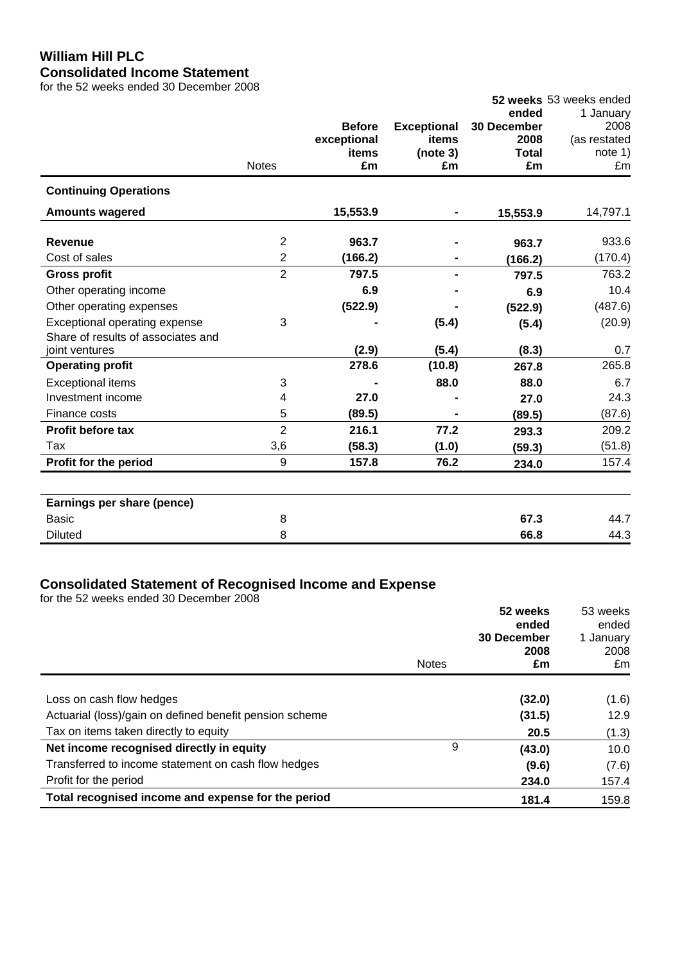# **William Hill PLC Consolidated Income Statement**

for the 52 weeks ended 30 December 2008

|                                    |                |               |                    |              | 52 weeks 53 weeks ended |
|------------------------------------|----------------|---------------|--------------------|--------------|-------------------------|
|                                    |                |               |                    | ended        | 1 January               |
|                                    |                | <b>Before</b> | <b>Exceptional</b> | 30 December  | 2008                    |
|                                    |                | exceptional   | items              | 2008         | (as restated            |
|                                    |                | items         | (note 3)           | <b>Total</b> | note 1)                 |
|                                    | <b>Notes</b>   | £m            | £m                 | £m           | £m                      |
| <b>Continuing Operations</b>       |                |               |                    |              |                         |
| <b>Amounts wagered</b>             |                | 15,553.9      | $\blacksquare$     | 15,553.9     | 14,797.1                |
| <b>Revenue</b>                     | $\overline{2}$ | 963.7         |                    | 963.7        | 933.6                   |
| Cost of sales                      | $\overline{2}$ | (166.2)       |                    | (166.2)      | (170.4)                 |
| <b>Gross profit</b>                | $\overline{2}$ | 797.5         |                    | 797.5        | 763.2                   |
| Other operating income             |                | 6.9           |                    | 6.9          | 10.4                    |
| Other operating expenses           |                | (522.9)       |                    | (522.9)      | (487.6)                 |
| Exceptional operating expense      | 3              |               | (5.4)              |              | (20.9)                  |
| Share of results of associates and |                |               |                    | (5.4)        |                         |
| joint ventures                     |                | (2.9)         | (5.4)              | (8.3)        | 0.7                     |
| <b>Operating profit</b>            |                | 278.6         | (10.8)             | 267.8        | 265.8                   |
| <b>Exceptional items</b>           | 3              |               | 88.0               | 88.0         | 6.7                     |
| Investment income                  | 4              | 27.0          |                    | 27.0         | 24.3                    |
| Finance costs                      | 5              | (89.5)        |                    | (89.5)       | (87.6)                  |
| <b>Profit before tax</b>           | $\overline{2}$ | 216.1         | 77.2               | 293.3        | 209.2                   |
| Tax                                | 3,6            | (58.3)        | (1.0)              | (59.3)       | (51.8)                  |
| Profit for the period              | 9              | 157.8         | 76.2               | 234.0        | 157.4                   |
|                                    |                |               |                    |              |                         |
| Earnings per share (pence)         |                |               |                    |              |                         |
| <b>Basic</b>                       | 8              |               |                    | 67.3         | 44.7                    |
| <b>Diluted</b>                     | 8              |               |                    | 66.8         | 44.3                    |

## **Consolidated Statement of Recognised Income and Expense**

for the 52 weeks ended 30 December 2008

|                                                         | 52 weeks<br>ended<br>30 December |            | 53 weeks<br>ended<br>1 January |
|---------------------------------------------------------|----------------------------------|------------|--------------------------------|
|                                                         | <b>Notes</b>                     | 2008<br>£m | 2008<br>£m                     |
|                                                         |                                  |            |                                |
| Loss on cash flow hedges                                |                                  | (32.0)     | (1.6)                          |
| Actuarial (loss)/gain on defined benefit pension scheme |                                  | (31.5)     | 12.9                           |
| Tax on items taken directly to equity                   |                                  | 20.5       | (1.3)                          |
| Net income recognised directly in equity                | 9                                | (43.0)     | 10.0                           |
| Transferred to income statement on cash flow hedges     |                                  | (9.6)      | (7.6)                          |
| Profit for the period                                   |                                  | 234.0      | 157.4                          |
| Total recognised income and expense for the period      |                                  | 181.4      | 159.8                          |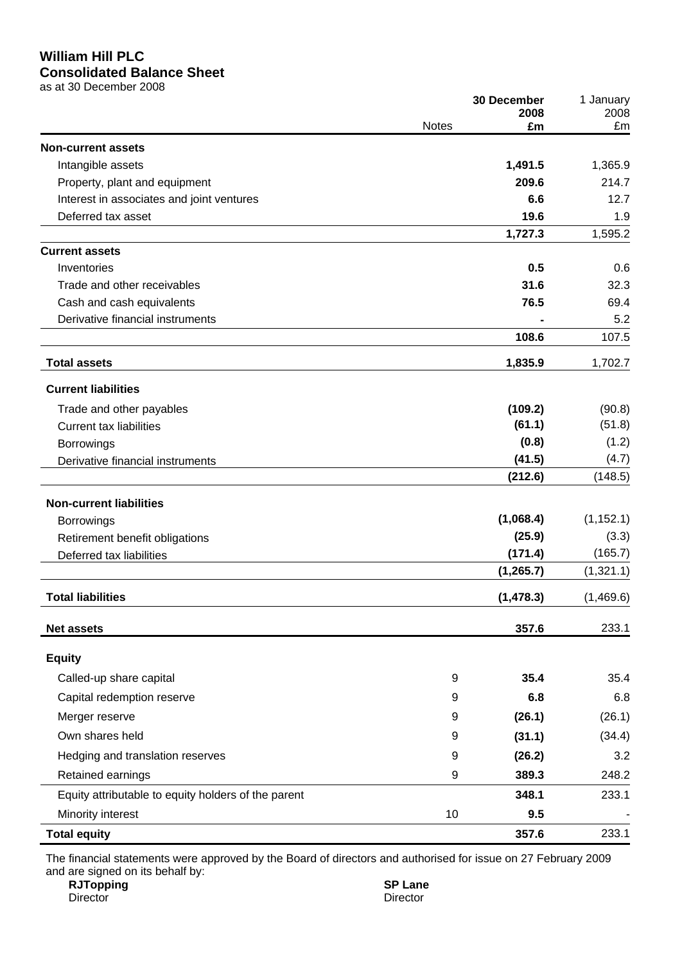## **William Hill PLC Consolidated Balance Sheet**

as at 30 December 2008

|                                                     |              | 30 December<br>2008 | 1 January<br>2008 |
|-----------------------------------------------------|--------------|---------------------|-------------------|
|                                                     | <b>Notes</b> | £m                  | £m                |
| <b>Non-current assets</b>                           |              |                     |                   |
| Intangible assets                                   |              | 1,491.5             | 1,365.9           |
| Property, plant and equipment                       |              | 209.6               | 214.7             |
| Interest in associates and joint ventures           |              | 6.6                 | 12.7              |
| Deferred tax asset                                  |              | 19.6                | 1.9               |
|                                                     |              | 1,727.3             | 1,595.2           |
| <b>Current assets</b>                               |              |                     |                   |
| Inventories                                         |              | 0.5                 | 0.6               |
| Trade and other receivables                         |              | 31.6                | 32.3              |
| Cash and cash equivalents                           |              | 76.5                | 69.4              |
| Derivative financial instruments                    |              |                     | 5.2               |
|                                                     |              | 108.6               | 107.5             |
| <b>Total assets</b>                                 |              | 1,835.9             | 1,702.7           |
| <b>Current liabilities</b>                          |              |                     |                   |
| Trade and other payables                            |              | (109.2)             | (90.8)            |
| <b>Current tax liabilities</b>                      |              | (61.1)              | (51.8)            |
| Borrowings                                          |              | (0.8)               | (1.2)             |
| Derivative financial instruments                    |              | (41.5)              | (4.7)             |
|                                                     |              | (212.6)             | (148.5)           |
| <b>Non-current liabilities</b>                      |              |                     |                   |
| <b>Borrowings</b>                                   |              | (1,068.4)           | (1, 152.1)        |
| Retirement benefit obligations                      |              | (25.9)              | (3.3)             |
| Deferred tax liabilities                            |              | (171.4)             | (165.7)           |
|                                                     |              | (1, 265.7)          | (1,321.1)         |
| <b>Total liabilities</b>                            |              | (1, 478.3)          | (1,469.6)         |
| <b>Net assets</b>                                   |              | 357.6               | 233.1             |
| <b>Equity</b>                                       |              |                     |                   |
| Called-up share capital                             | 9            | 35.4                | 35.4              |
| Capital redemption reserve                          | 9            | 6.8                 | 6.8               |
| Merger reserve                                      | 9            | (26.1)              | (26.1)            |
| Own shares held                                     | 9            | (31.1)              | (34.4)            |
| Hedging and translation reserves                    | 9            | (26.2)              | 3.2               |
| Retained earnings                                   | 9            | 389.3               | 248.2             |
| Equity attributable to equity holders of the parent |              | 348.1               | 233.1             |
| Minority interest                                   | 10           | 9.5                 |                   |
| <b>Total equity</b>                                 |              | 357.6               | 233.1             |

The financial statements were approved by the Board of directors and authorised for issue on 27 February 2009 and are signed on its behalf by:

**RJTopping SP Lane** Director Director Director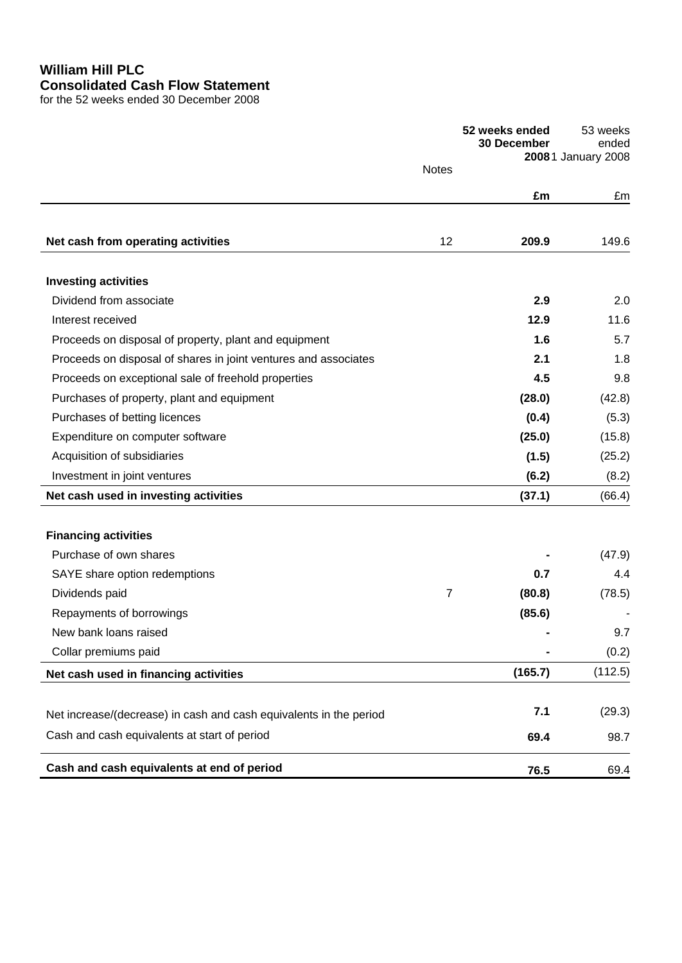# **William Hill PLC Consolidated Cash Flow Statement**

for the 52 weeks ended 30 December 2008

|                                                                    |              | 52 weeks ended<br><b>30 December</b> | 53 weeks<br>ended<br>20081 January 2008 |
|--------------------------------------------------------------------|--------------|--------------------------------------|-----------------------------------------|
|                                                                    | <b>Notes</b> |                                      |                                         |
|                                                                    |              | £m                                   | £m                                      |
|                                                                    |              |                                      |                                         |
| Net cash from operating activities                                 | 12           | 209.9                                | 149.6                                   |
| <b>Investing activities</b>                                        |              |                                      |                                         |
| Dividend from associate                                            |              | 2.9                                  | 2.0                                     |
| Interest received                                                  |              | 12.9                                 | 11.6                                    |
| Proceeds on disposal of property, plant and equipment              |              | 1.6                                  | 5.7                                     |
| Proceeds on disposal of shares in joint ventures and associates    |              | 2.1                                  | 1.8                                     |
| Proceeds on exceptional sale of freehold properties                |              | 4.5                                  | 9.8                                     |
| Purchases of property, plant and equipment                         |              | (28.0)                               | (42.8)                                  |
| Purchases of betting licences                                      |              | (0.4)                                | (5.3)                                   |
| Expenditure on computer software                                   |              | (25.0)                               | (15.8)                                  |
| Acquisition of subsidiaries                                        |              | (1.5)                                | (25.2)                                  |
| Investment in joint ventures                                       |              | (6.2)                                | (8.2)                                   |
| Net cash used in investing activities                              |              | (37.1)                               | (66.4)                                  |
| <b>Financing activities</b>                                        |              |                                      |                                         |
| Purchase of own shares                                             |              |                                      | (47.9)                                  |
| SAYE share option redemptions                                      |              | 0.7                                  | 4.4                                     |
| Dividends paid                                                     | 7            | (80.8)                               | (78.5)                                  |
| Repayments of borrowings                                           |              | (85.6)                               |                                         |
| New bank loans raised                                              |              |                                      | 9.7                                     |
| Collar premiums paid                                               |              |                                      | (0.2)                                   |
| Net cash used in financing activities                              |              | (165.7)                              | (112.5)                                 |
|                                                                    |              |                                      |                                         |
| Net increase/(decrease) in cash and cash equivalents in the period |              | 7.1                                  | (29.3)                                  |
| Cash and cash equivalents at start of period                       |              | 69.4                                 | 98.7                                    |
| Cash and cash equivalents at end of period                         |              | 76.5                                 | 69.4                                    |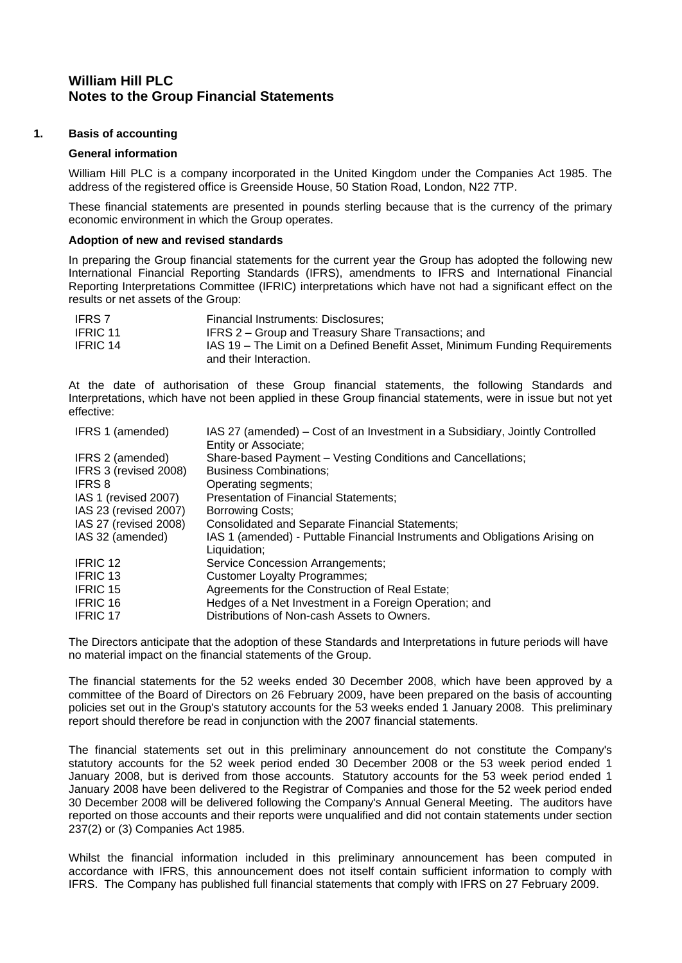# **William Hill PLC Notes to the Group Financial Statements**

#### **1. Basis of accounting**

#### **General information**

William Hill PLC is a company incorporated in the United Kingdom under the Companies Act 1985. The address of the registered office is Greenside House, 50 Station Road, London, N22 7TP.

These financial statements are presented in pounds sterling because that is the currency of the primary economic environment in which the Group operates.

#### **Adoption of new and revised standards**

In preparing the Group financial statements for the current year the Group has adopted the following new International Financial Reporting Standards (IFRS), amendments to IFRS and International Financial Reporting Interpretations Committee (IFRIC) interpretations which have not had a significant effect on the results or net assets of the Group:

| <b>IFRS 7</b> | Financial Instruments: Disclosures;                                         |
|---------------|-----------------------------------------------------------------------------|
| IFRIC 11      | IFRS 2 – Group and Treasury Share Transactions; and                         |
| IFRIC 14      | IAS 19 – The Limit on a Defined Benefit Asset, Minimum Funding Requirements |
|               | and their Interaction.                                                      |

At the date of authorisation of these Group financial statements, the following Standards and Interpretations, which have not been applied in these Group financial statements, were in issue but not yet effective:

| IAS 27 (amended) – Cost of an Investment in a Subsidiary, Jointly Controlled<br>Entity or Associate; |
|------------------------------------------------------------------------------------------------------|
| Share-based Payment - Vesting Conditions and Cancellations;                                          |
| <b>Business Combinations;</b>                                                                        |
| Operating segments;                                                                                  |
| Presentation of Financial Statements;                                                                |
| <b>Borrowing Costs;</b>                                                                              |
| Consolidated and Separate Financial Statements;                                                      |
| IAS 1 (amended) - Puttable Financial Instruments and Obligations Arising on                          |
| Liquidation;                                                                                         |
| Service Concession Arrangements;                                                                     |
| <b>Customer Loyalty Programmes;</b>                                                                  |
| Agreements for the Construction of Real Estate;                                                      |
| Hedges of a Net Investment in a Foreign Operation; and                                               |
| Distributions of Non-cash Assets to Owners.                                                          |
|                                                                                                      |

The Directors anticipate that the adoption of these Standards and Interpretations in future periods will have no material impact on the financial statements of the Group.

The financial statements for the 52 weeks ended 30 December 2008, which have been approved by a committee of the Board of Directors on 26 February 2009, have been prepared on the basis of accounting policies set out in the Group's statutory accounts for the 53 weeks ended 1 January 2008. This preliminary report should therefore be read in conjunction with the 2007 financial statements.

The financial statements set out in this preliminary announcement do not constitute the Company's statutory accounts for the 52 week period ended 30 December 2008 or the 53 week period ended 1 January 2008, but is derived from those accounts. Statutory accounts for the 53 week period ended 1 January 2008 have been delivered to the Registrar of Companies and those for the 52 week period ended 30 December 2008 will be delivered following the Company's Annual General Meeting. The auditors have reported on those accounts and their reports were unqualified and did not contain statements under section 237(2) or (3) Companies Act 1985.

Whilst the financial information included in this preliminary announcement has been computed in accordance with IFRS, this announcement does not itself contain sufficient information to comply with IFRS. The Company has published full financial statements that comply with IFRS on 27 February 2009.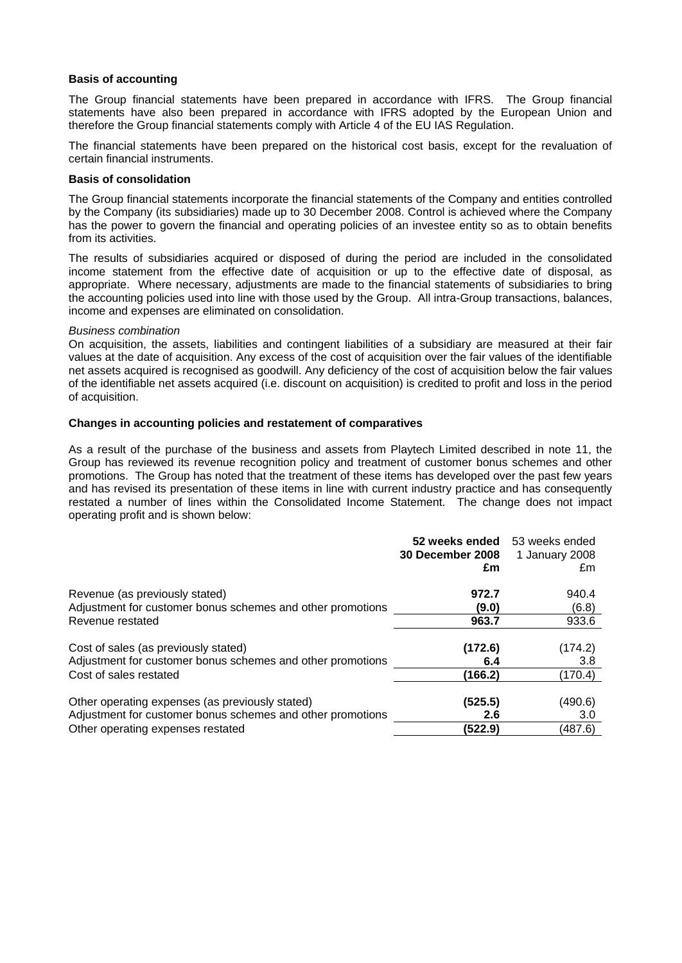#### **Basis of accounting**

The Group financial statements have been prepared in accordance with IFRS. The Group financial statements have also been prepared in accordance with IFRS adopted by the European Union and therefore the Group financial statements comply with Article 4 of the EU IAS Regulation.

The financial statements have been prepared on the historical cost basis, except for the revaluation of certain financial instruments.

#### **Basis of consolidation**

The Group financial statements incorporate the financial statements of the Company and entities controlled by the Company (its subsidiaries) made up to 30 December 2008. Control is achieved where the Company has the power to govern the financial and operating policies of an investee entity so as to obtain benefits from its activities.

The results of subsidiaries acquired or disposed of during the period are included in the consolidated income statement from the effective date of acquisition or up to the effective date of disposal, as appropriate. Where necessary, adjustments are made to the financial statements of subsidiaries to bring the accounting policies used into line with those used by the Group. All intra-Group transactions, balances, income and expenses are eliminated on consolidation.

#### *Business combination*

On acquisition, the assets, liabilities and contingent liabilities of a subsidiary are measured at their fair values at the date of acquisition. Any excess of the cost of acquisition over the fair values of the identifiable net assets acquired is recognised as goodwill. Any deficiency of the cost of acquisition below the fair values of the identifiable net assets acquired (i.e. discount on acquisition) is credited to profit and loss in the period of acquisition.

#### **Changes in accounting policies and restatement of comparatives**

As a result of the purchase of the business and assets from Playtech Limited described in note 11, the Group has reviewed its revenue recognition policy and treatment of customer bonus schemes and other promotions. The Group has noted that the treatment of these items has developed over the past few years and has revised its presentation of these items in line with current industry practice and has consequently restated a number of lines within the Consolidated Income Statement. The change does not impact operating profit and is shown below:

|                                                                                              | 52 weeks ended<br>30 December 2008<br>£m | 53 weeks ended<br>1 January 2008<br>£m |
|----------------------------------------------------------------------------------------------|------------------------------------------|----------------------------------------|
| Revenue (as previously stated)<br>Adjustment for customer bonus schemes and other promotions | 972.7<br>(9.0)                           | 940.4<br>(6.8)                         |
| Revenue restated                                                                             | 963.7                                    | 933.6                                  |
| Cost of sales (as previously stated)                                                         | (172.6)                                  | (174.2)                                |
| Adjustment for customer bonus schemes and other promotions                                   | 6.4                                      | 3.8                                    |
| Cost of sales restated                                                                       | (166.2)                                  | (170.4)                                |
| Other operating expenses (as previously stated)                                              | (525.5)                                  | (490.6)                                |
| Adjustment for customer bonus schemes and other promotions                                   | 2.6                                      | 3.0                                    |
| Other operating expenses restated                                                            | (522.9)                                  | (487.6)                                |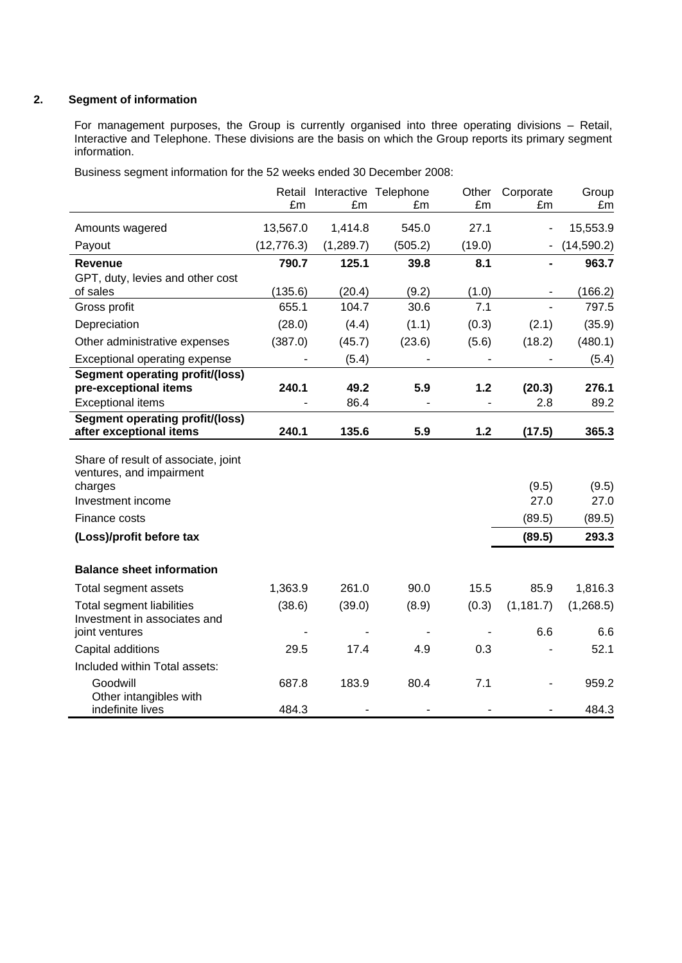## **2. Segment of information**

For management purposes, the Group is currently organised into three operating divisions – Retail, Interactive and Telephone. These divisions are the basis on which the Group reports its primary segment information.

Business segment information for the 52 weeks ended 30 December 2008:

|                                        |             | Retail Interactive Telephone |         | Other  | Corporate  | Group       |
|----------------------------------------|-------------|------------------------------|---------|--------|------------|-------------|
|                                        | £m          | £m                           | £m      | £m     | £m         | £m          |
| Amounts wagered                        | 13,567.0    | 1,414.8                      | 545.0   | 27.1   |            | 15,553.9    |
| Payout                                 | (12, 776.3) | (1,289.7)                    | (505.2) | (19.0) |            | (14, 590.2) |
| Revenue                                | 790.7       | 125.1                        | 39.8    | 8.1    |            | 963.7       |
| GPT, duty, levies and other cost       |             |                              |         |        |            |             |
| of sales                               | (135.6)     | (20.4)                       | (9.2)   | (1.0)  |            | (166.2)     |
| Gross profit                           | 655.1       | 104.7                        | 30.6    | 7.1    |            | 797.5       |
| Depreciation                           | (28.0)      | (4.4)                        | (1.1)   | (0.3)  | (2.1)      | (35.9)      |
| Other administrative expenses          | (387.0)     | (45.7)                       | (23.6)  | (5.6)  | (18.2)     | (480.1)     |
| Exceptional operating expense          |             | (5.4)                        |         |        |            | (5.4)       |
| <b>Segment operating profit/(loss)</b> |             |                              |         |        |            |             |
| pre-exceptional items                  | 240.1       | 49.2                         | 5.9     | $1.2$  | (20.3)     | 276.1       |
| <b>Exceptional items</b>               |             | 86.4                         |         |        | 2.8        | 89.2        |
| <b>Segment operating profit/(loss)</b> |             |                              |         |        |            |             |
| after exceptional items                | 240.1       | 135.6                        | 5.9     | 1.2    | (17.5)     | 365.3       |
| Share of result of associate, joint    |             |                              |         |        |            |             |
| ventures, and impairment               |             |                              |         |        |            |             |
| charges                                |             |                              |         |        | (9.5)      | (9.5)       |
| Investment income                      |             |                              |         |        | 27.0       | 27.0        |
| Finance costs                          |             |                              |         |        | (89.5)     | (89.5)      |
| (Loss)/profit before tax               |             |                              |         |        | (89.5)     | 293.3       |
|                                        |             |                              |         |        |            |             |
| <b>Balance sheet information</b>       |             |                              |         |        |            |             |
| Total segment assets                   | 1,363.9     | 261.0                        | 90.0    | 15.5   | 85.9       | 1,816.3     |
| <b>Total segment liabilities</b>       | (38.6)      | (39.0)                       | (8.9)   | (0.3)  | (1, 181.7) | (1,268.5)   |
| Investment in associates and           |             |                              |         |        |            |             |
| joint ventures                         |             |                              |         |        | 6.6        | 6.6         |
| Capital additions                      | 29.5        | 17.4                         | 4.9     | 0.3    |            | 52.1        |
| Included within Total assets:          |             |                              |         |        |            |             |
| Goodwill                               | 687.8       | 183.9                        | 80.4    | 7.1    |            | 959.2       |
| Other intangibles with                 |             |                              |         |        |            |             |
| indefinite lives                       | 484.3       |                              |         |        |            | 484.3       |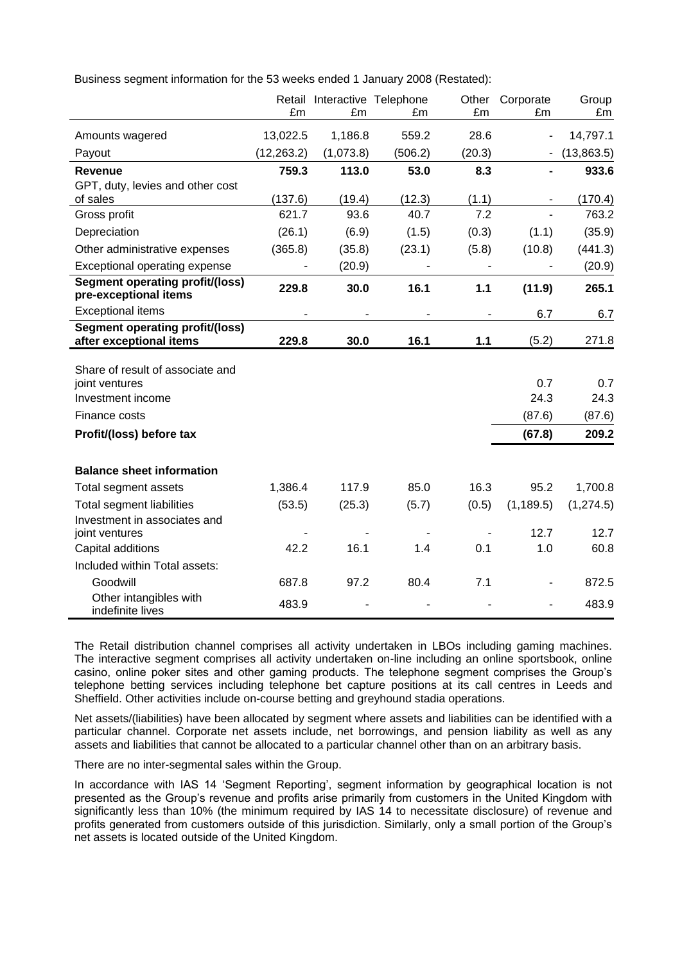Business segment information for the 53 weeks ended 1 January 2008 (Restated):

|                                                                   | £m          | Retail Interactive Telephone<br>£m | £m      | Other<br>£m | Corporate<br>£m | Group      |
|-------------------------------------------------------------------|-------------|------------------------------------|---------|-------------|-----------------|------------|
|                                                                   |             |                                    |         |             |                 | £m         |
| Amounts wagered                                                   | 13,022.5    | 1,186.8                            | 559.2   | 28.6        |                 | 14,797.1   |
| Payout                                                            | (12, 263.2) | (1,073.8)                          | (506.2) | (20.3)      |                 | (13,863.5) |
| Revenue                                                           | 759.3       | 113.0                              | 53.0    | 8.3         |                 | 933.6      |
| GPT, duty, levies and other cost                                  |             |                                    |         |             |                 |            |
| of sales                                                          | (137.6)     | (19.4)                             | (12.3)  | (1.1)       |                 | (170.4)    |
| Gross profit                                                      | 621.7       | 93.6                               | 40.7    | 7.2         |                 | 763.2      |
| Depreciation                                                      | (26.1)      | (6.9)                              | (1.5)   | (0.3)       | (1.1)           | (35.9)     |
| Other administrative expenses                                     | (365.8)     | (35.8)                             | (23.1)  | (5.8)       | (10.8)          | (441.3)    |
| Exceptional operating expense                                     |             | (20.9)                             |         |             |                 | (20.9)     |
| <b>Segment operating profit/(loss)</b><br>pre-exceptional items   | 229.8       | 30.0                               | 16.1    | $1.1$       | (11.9)          | 265.1      |
| <b>Exceptional items</b>                                          |             |                                    |         |             | 6.7             | 6.7        |
| <b>Segment operating profit/(loss)</b><br>after exceptional items | 229.8       | 30.0                               | 16.1    | 1.1         | (5.2)           | 271.8      |
|                                                                   |             |                                    |         |             |                 |            |
| Share of result of associate and                                  |             |                                    |         |             |                 |            |
| joint ventures                                                    |             |                                    |         |             | 0.7             | 0.7        |
| Investment income                                                 |             |                                    |         |             | 24.3            | 24.3       |
| Finance costs                                                     |             |                                    |         |             | (87.6)          | (87.6)     |
| Profit/(loss) before tax                                          |             |                                    |         |             | (67.8)          | 209.2      |
| <b>Balance sheet information</b>                                  |             |                                    |         |             |                 |            |
| Total segment assets                                              | 1,386.4     | 117.9                              | 85.0    | 16.3        | 95.2            | 1,700.8    |
| <b>Total segment liabilities</b>                                  | (53.5)      | (25.3)                             | (5.7)   | (0.5)       | (1, 189.5)      | (1, 274.5) |
| Investment in associates and                                      |             |                                    |         |             |                 |            |
| joint ventures                                                    |             |                                    |         |             | 12.7            | 12.7       |
| Capital additions                                                 | 42.2        | 16.1                               | 1.4     | 0.1         | 1.0             | 60.8       |
| Included within Total assets:                                     |             |                                    |         |             |                 |            |
| Goodwill                                                          | 687.8       | 97.2                               | 80.4    | 7.1         |                 | 872.5      |
| Other intangibles with<br>indefinite lives                        | 483.9       |                                    |         |             |                 | 483.9      |

The Retail distribution channel comprises all activity undertaken in LBOs including gaming machines. The interactive segment comprises all activity undertaken on-line including an online sportsbook, online casino, online poker sites and other gaming products. The telephone segment comprises the Group"s telephone betting services including telephone bet capture positions at its call centres in Leeds and Sheffield. Other activities include on-course betting and greyhound stadia operations.

Net assets/(liabilities) have been allocated by segment where assets and liabilities can be identified with a particular channel. Corporate net assets include, net borrowings, and pension liability as well as any assets and liabilities that cannot be allocated to a particular channel other than on an arbitrary basis.

There are no inter-segmental sales within the Group.

In accordance with IAS 14 'Segment Reporting', segment information by geographical location is not presented as the Group's revenue and profits arise primarily from customers in the United Kingdom with significantly less than 10% (the minimum required by IAS 14 to necessitate disclosure) of revenue and profits generated from customers outside of this jurisdiction. Similarly, only a small portion of the Group"s net assets is located outside of the United Kingdom.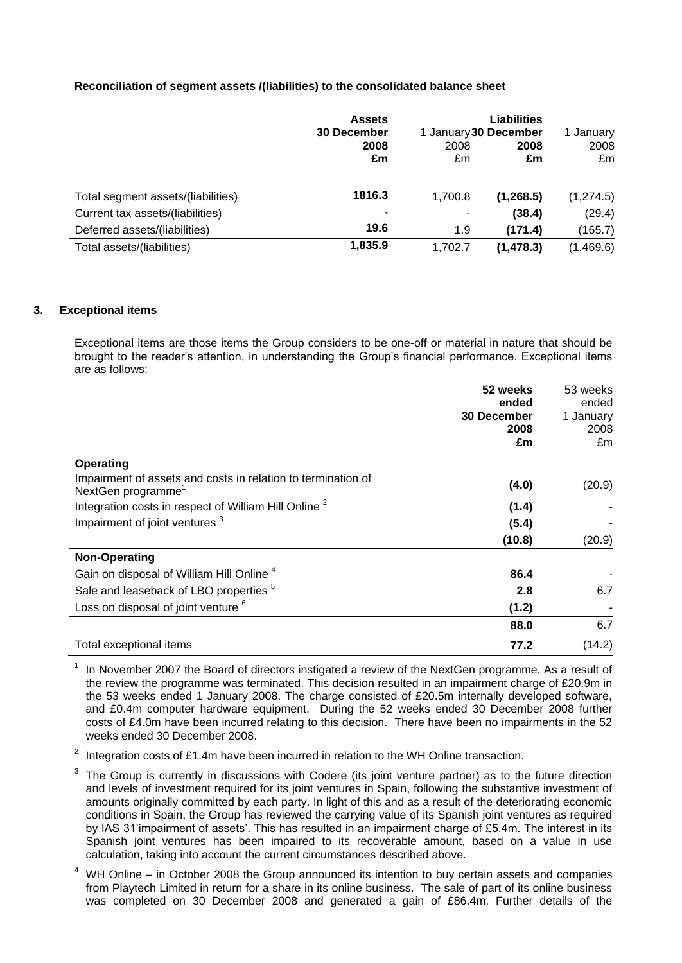## **Reconciliation of segment assets /(liabilities) to the consolidated balance sheet**

|                                    | <b>Assets</b><br><b>30 December</b> |            | Liabilities<br>1 January 30 December |            |  |
|------------------------------------|-------------------------------------|------------|--------------------------------------|------------|--|
|                                    | 2008<br>£m                          | 2008<br>£m | 2008<br>£m                           | 2008<br>£m |  |
| Total segment assets/(liabilities) | 1816.3                              | 1,700.8    | (1,268.5)                            | (1, 274.5) |  |
| Current tax assets/(liabilities)   | $\blacksquare$                      | ۰          | (38.4)                               | (29.4)     |  |
| Deferred assets/(liabilities)      | 19.6                                | 1.9        | (171.4)                              | (165.7)    |  |
| Total assets/(liabilities)         | 1,835.9                             | 1,702.7    | (1, 478.3)                           | (1,469.6)  |  |

### **3. Exceptional items**

Exceptional items are those items the Group considers to be one-off or material in nature that should be brought to the reader"s attention, in understanding the Group"s financial performance. Exceptional items are as follows:

|                                                                                                | 52 weeks<br>ended  | 53 weeks<br>ended |
|------------------------------------------------------------------------------------------------|--------------------|-------------------|
|                                                                                                | <b>30 December</b> | 1 January         |
|                                                                                                | 2008               | 2008              |
|                                                                                                | £m                 | £m                |
| Operating                                                                                      |                    |                   |
| Impairment of assets and costs in relation to termination of<br>NextGen programme <sup>1</sup> | (4.0)              | (20.9)            |
| Integration costs in respect of William Hill Online <sup>2</sup>                               | (1.4)              |                   |
| Impairment of joint ventures <sup>3</sup>                                                      | (5.4)              |                   |
|                                                                                                | (10.8)             | (20.9)            |
| <b>Non-Operating</b>                                                                           |                    |                   |
| Gain on disposal of William Hill Online <sup>4</sup>                                           | 86.4               |                   |
| Sale and leaseback of LBO properties <sup>5</sup>                                              | 2.8                | 6.7               |
| Loss on disposal of joint venture <sup>6</sup>                                                 | (1.2)              |                   |
|                                                                                                | 88.0               | 6.7               |
| Total exceptional items                                                                        | 77.2               | (14.2)            |

1 In November 2007 the Board of directors instigated a review of the NextGen programme. As a result of the review the programme was terminated. This decision resulted in an impairment charge of £20.9m in the 53 weeks ended 1 January 2008. The charge consisted of £20.5m internally developed software, and £0.4m computer hardware equipment. During the 52 weeks ended 30 December 2008 further costs of £4.0m have been incurred relating to this decision. There have been no impairments in the 52 weeks ended 30 December 2008.

2 Integration costs of £1.4m have been incurred in relation to the WH Online transaction.

- 3 The Group is currently in discussions with Codere (its joint venture partner) as to the future direction and levels of investment required for its joint ventures in Spain, following the substantive investment of amounts originally committed by each party. In light of this and as a result of the deteriorating economic conditions in Spain, the Group has reviewed the carrying value of its Spanish joint ventures as required by IAS 31"impairment of assets". This has resulted in an impairment charge of £5.4m. The interest in its Spanish joint ventures has been impaired to its recoverable amount, based on a value in use calculation, taking into account the current circumstances described above.
- WH Online in October 2008 the Group announced its intention to buy certain assets and companies from Playtech Limited in return for a share in its online business. The sale of part of its online business was completed on 30 December 2008 and generated a gain of £86.4m. Further details of the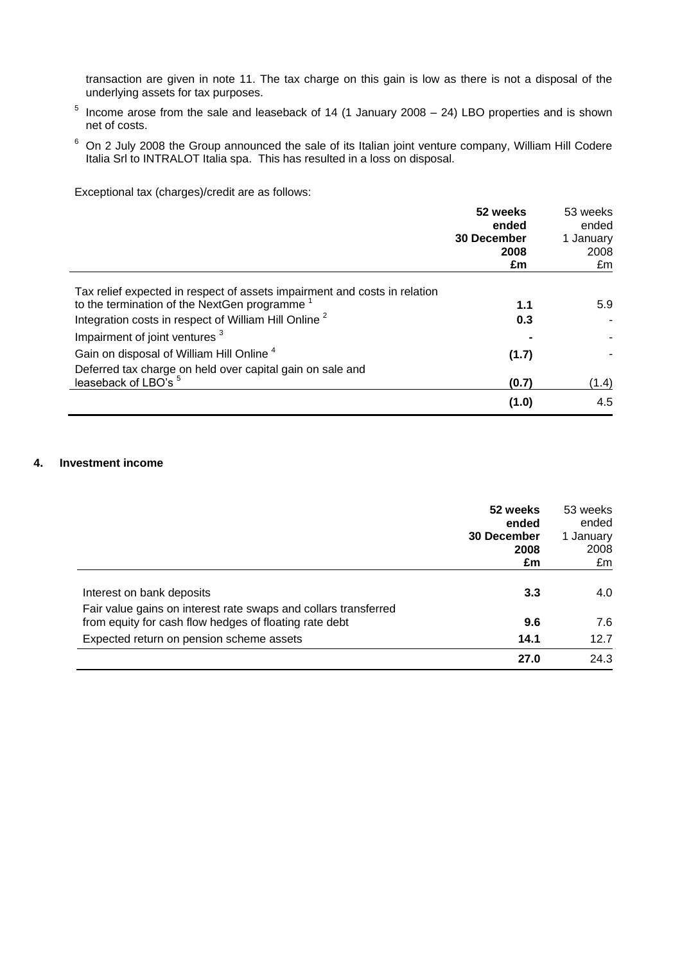transaction are given in note 11. The tax charge on this gain is low as there is not a disposal of the underlying assets for tax purposes.

- 5 Income arose from the sale and leaseback of 14 (1 January 2008 – 24) LBO properties and is shown net of costs.
- <sup>6</sup> On 2 July 2008 the Group announced the sale of its Italian joint venture company, William Hill Codere Italia Srl to INTRALOT Italia spa. This has resulted in a loss on disposal.

Exceptional tax (charges)/credit are as follows:

|                                                                           | 52 weeks<br>ended<br><b>30 December</b><br>2008<br>£m | 53 weeks<br>ended<br>1 January<br>2008<br>£m |
|---------------------------------------------------------------------------|-------------------------------------------------------|----------------------------------------------|
| Tax relief expected in respect of assets impairment and costs in relation |                                                       |                                              |
| to the termination of the NextGen programme                               | 1.1                                                   | 5.9                                          |
| Integration costs in respect of William Hill Online <sup>2</sup>          | 0.3                                                   |                                              |
| Impairment of joint ventures <sup>3</sup>                                 |                                                       |                                              |
| Gain on disposal of William Hill Online <sup>4</sup>                      | (1.7)                                                 |                                              |
| Deferred tax charge on held over capital gain on sale and                 |                                                       |                                              |
| leaseback of LBO's <sup>5</sup>                                           | (0.7)                                                 | (1.4)                                        |
|                                                                           | (1.0)                                                 | 4.5                                          |

## **4. Investment income**

|                                                                                                                           | 52 weeks<br>ended<br>30 December<br>2008<br>£m | 53 weeks<br>ended<br>1 January<br>2008<br>£m |
|---------------------------------------------------------------------------------------------------------------------------|------------------------------------------------|----------------------------------------------|
| Interest on bank deposits                                                                                                 | 3.3                                            | 4.0                                          |
| Fair value gains on interest rate swaps and collars transferred<br>from equity for cash flow hedges of floating rate debt | 9.6                                            | 7.6                                          |
| Expected return on pension scheme assets                                                                                  | 14.1                                           | 12.7                                         |
|                                                                                                                           | 27.0                                           | 24.3                                         |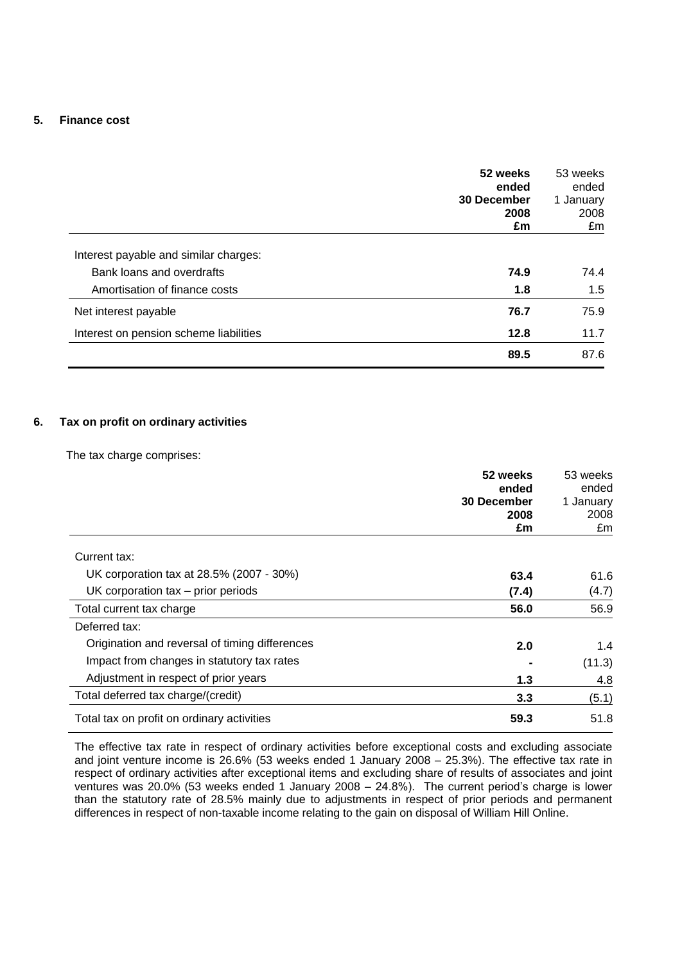### **5. Finance cost**

|                                        | 52 weeks<br>ended<br>30 December<br>2008<br>£m | 53 weeks<br>ended<br>1 January<br>2008<br>£m |
|----------------------------------------|------------------------------------------------|----------------------------------------------|
| Interest payable and similar charges:  |                                                |                                              |
| Bank loans and overdrafts              | 74.9                                           | 74.4                                         |
| Amortisation of finance costs          | 1.8                                            | 1.5                                          |
| Net interest payable                   | 76.7                                           | 75.9                                         |
| Interest on pension scheme liabilities | 12.8                                           | 11.7                                         |
|                                        | 89.5                                           | 87.6                                         |

## **6. Tax on profit on ordinary activities**

The tax charge comprises:

|                                                | 52 weeks<br>ended  | 53 weeks<br>ended |
|------------------------------------------------|--------------------|-------------------|
|                                                | <b>30 December</b> | 1 January         |
|                                                | 2008               | 2008              |
|                                                | £m                 | £m                |
| Current tax:                                   |                    |                   |
| UK corporation tax at 28.5% (2007 - 30%)       | 63.4               | 61.6              |
| UK corporation $tax - prior$ periods           | (7.4)              | (4.7)             |
| Total current tax charge                       | 56.0               | 56.9              |
| Deferred tax:                                  |                    |                   |
| Origination and reversal of timing differences | 2.0                | 1.4               |
| Impact from changes in statutory tax rates     |                    | (11.3)            |
| Adjustment in respect of prior years           | 1.3                | 4.8               |
| Total deferred tax charge/(credit)             | 3.3                | (5.1)             |
| Total tax on profit on ordinary activities     | 59.3               | 51.8              |

The effective tax rate in respect of ordinary activities before exceptional costs and excluding associate and joint venture income is 26.6% (53 weeks ended 1 January 2008 – 25.3%). The effective tax rate in respect of ordinary activities after exceptional items and excluding share of results of associates and joint ventures was 20.0% (53 weeks ended 1 January 2008 – 24.8%). The current period"s charge is lower than the statutory rate of 28.5% mainly due to adjustments in respect of prior periods and permanent differences in respect of non-taxable income relating to the gain on disposal of William Hill Online.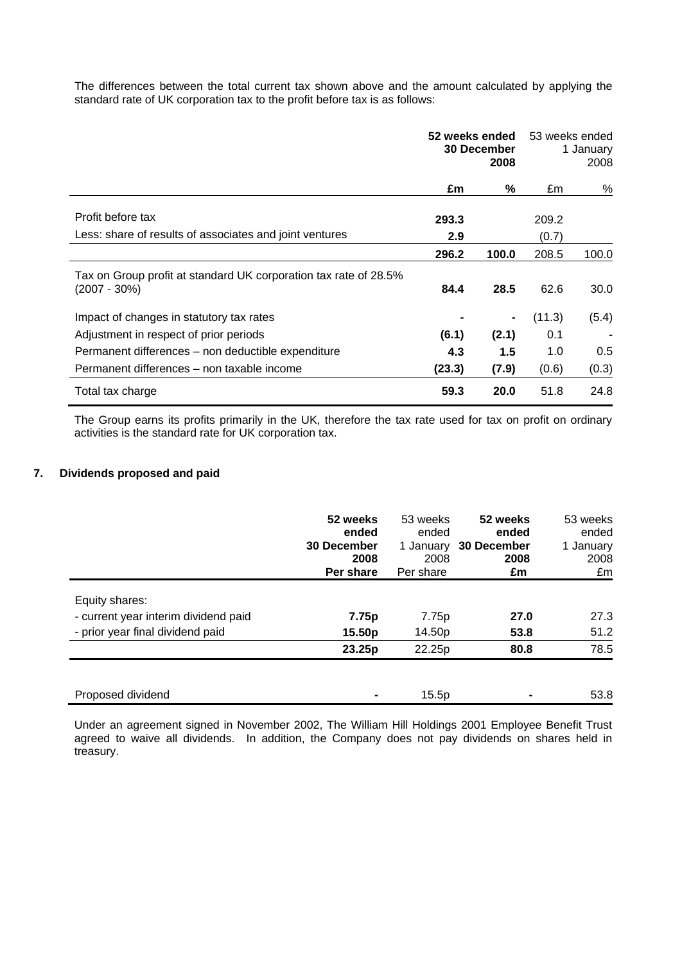The differences between the total current tax shown above and the amount calculated by applying the standard rate of UK corporation tax to the profit before tax is as follows:

|                                                                                     | 52 weeks ended<br><b>30 December</b><br>2008 |       | 53 weeks ended | 1 January<br>2008 |  |
|-------------------------------------------------------------------------------------|----------------------------------------------|-------|----------------|-------------------|--|
|                                                                                     | £m                                           | %     | £m             | $\%$              |  |
| Profit before tax                                                                   | 293.3                                        |       | 209.2          |                   |  |
| Less: share of results of associates and joint ventures                             | 2.9                                          |       | (0.7)          |                   |  |
|                                                                                     | 296.2                                        | 100.0 | 208.5          | 100.0             |  |
| Tax on Group profit at standard UK corporation tax rate of 28.5%<br>$(2007 - 30\%)$ | 84.4                                         | 28.5  | 62.6           | 30.0              |  |
| Impact of changes in statutory tax rates                                            |                                              |       | (11.3)         | (5.4)             |  |
| Adjustment in respect of prior periods                                              | (6.1)                                        | (2.1) | 0.1            |                   |  |
| Permanent differences - non deductible expenditure                                  | 4.3                                          | 1.5   | 1.0            | 0.5               |  |
| Permanent differences – non taxable income                                          | (23.3)                                       | (7.9) | (0.6)          | (0.3)             |  |
| Total tax charge                                                                    | 59.3                                         | 20.0  | 51.8           | 24.8              |  |

The Group earns its profits primarily in the UK, therefore the tax rate used for tax on profit on ordinary activities is the standard rate for UK corporation tax.

## **7. Dividends proposed and paid**

|                                      | 52 weeks<br>ended<br><b>30 December</b><br>2008<br>Per share | 53 weeks<br>ended<br>1 January<br>2008<br>Per share | 52 weeks<br>ended<br>30 December<br>2008<br>£m | 53 weeks<br>ended<br>1 January<br>2008<br>£m |
|--------------------------------------|--------------------------------------------------------------|-----------------------------------------------------|------------------------------------------------|----------------------------------------------|
| Equity shares:                       |                                                              |                                                     |                                                |                                              |
| - current year interim dividend paid | 7.75p                                                        | 7.75p                                               | 27.0                                           | 27.3                                         |
| - prior year final dividend paid     | 15.50p                                                       | 14.50p                                              | 53.8                                           | 51.2                                         |
|                                      | 23.25p                                                       | 22.25p                                              | 80.8                                           | 78.5                                         |
|                                      |                                                              |                                                     |                                                |                                              |
| Proposed dividend                    |                                                              | 15.5p                                               |                                                | 53.8                                         |

Under an agreement signed in November 2002, The William Hill Holdings 2001 Employee Benefit Trust agreed to waive all dividends. In addition, the Company does not pay dividends on shares held in treasury.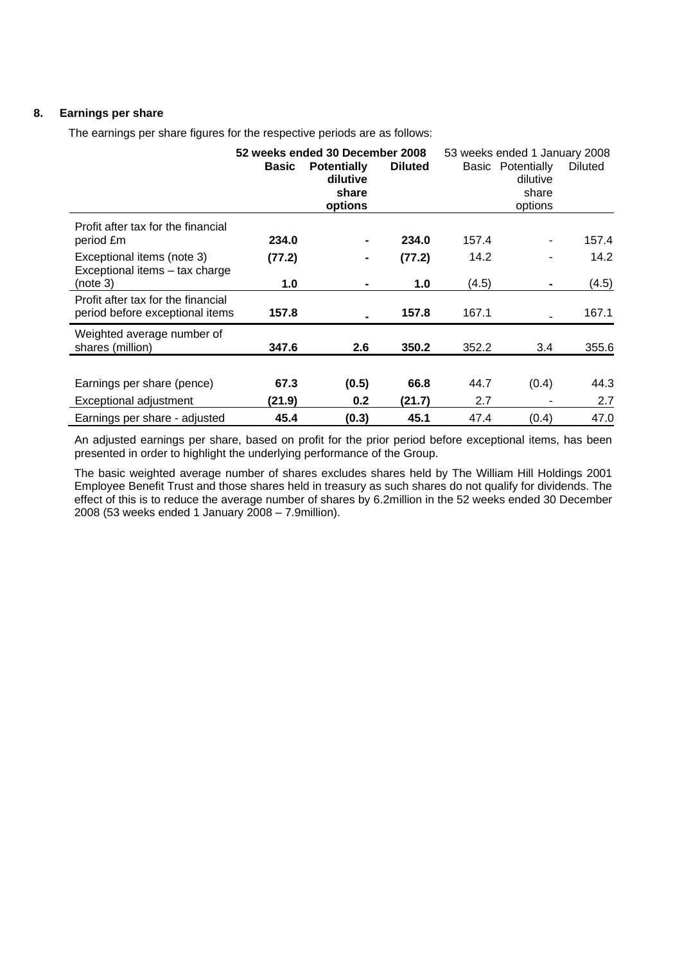## **8. Earnings per share**

The earnings per share figures for the respective periods are as follows:

|                                                                          | <b>Basic</b>   | 52 weeks ended 30 December 2008<br><b>Potentially</b><br>dilutive<br>share<br>options | <b>Diluted</b> | 53 weeks ended 1 January 2008 | Basic Potentially<br>dilutive<br>share<br>options | <b>Diluted</b> |
|--------------------------------------------------------------------------|----------------|---------------------------------------------------------------------------------------|----------------|-------------------------------|---------------------------------------------------|----------------|
| Profit after tax for the financial<br>period £m                          | 234.0          |                                                                                       | 234.0          | 157.4                         |                                                   | 157.4          |
| Exceptional items (note 3)<br>Exceptional items - tax charge<br>(note 3) | (77.2)<br>1.0  |                                                                                       | (77.2)<br>1.0  | 14.2<br>(4.5)                 |                                                   | 14.2<br>(4.5)  |
| Profit after tax for the financial<br>period before exceptional items    | 157.8          |                                                                                       | 157.8          | 167.1                         |                                                   | 167.1          |
| Weighted average number of<br>shares (million)                           | 347.6          | 2.6                                                                                   | 350.2          | 352.2                         | 3.4                                               | 355.6          |
| Earnings per share (pence)<br>Exceptional adjustment                     | 67.3<br>(21.9) | (0.5)<br>0.2                                                                          | 66.8<br>(21.7) | 44.7<br>2.7                   | (0.4)                                             | 44.3<br>2.7    |
| Earnings per share - adjusted                                            | 45.4           | (0.3)                                                                                 | 45.1           | 47.4                          | (0.4)                                             | 47.0           |

An adjusted earnings per share, based on profit for the prior period before exceptional items, has been presented in order to highlight the underlying performance of the Group.

The basic weighted average number of shares excludes shares held by The William Hill Holdings 2001 Employee Benefit Trust and those shares held in treasury as such shares do not qualify for dividends. The effect of this is to reduce the average number of shares by 6.2million in the 52 weeks ended 30 December 2008 (53 weeks ended 1 January 2008 – 7.9million).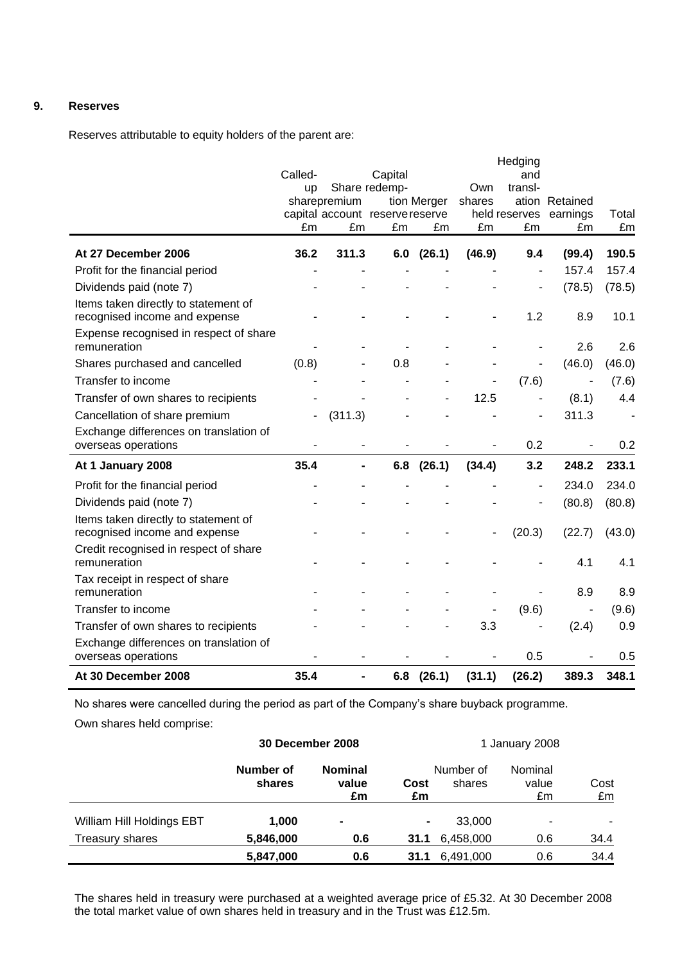## **9. Reserves**

Reserves attributable to equity holders of the parent are:

|                                                                       |         |                |                                 |              |                | Hedging                  |                |        |
|-----------------------------------------------------------------------|---------|----------------|---------------------------------|--------------|----------------|--------------------------|----------------|--------|
|                                                                       | Called- |                | Capital                         |              |                | and                      |                |        |
|                                                                       | up      | sharepremium   | Share redemp-                   |              | Own<br>shares  | transl-                  | ation Retained |        |
|                                                                       |         |                | capital account reserve reserve | tion Merger  |                | held reserves            | earnings       | Total  |
|                                                                       | £m      | £m             | £m                              | £m           | £m             | £m                       | £m             | £m     |
| At 27 December 2006                                                   | 36.2    | 311.3          |                                 | $6.0$ (26.1) | (46.9)         | 9.4                      | (99.4)         | 190.5  |
| Profit for the financial period                                       |         |                |                                 |              |                |                          | 157.4          | 157.4  |
| Dividends paid (note 7)                                               |         |                |                                 |              |                |                          | (78.5)         | (78.5) |
| Items taken directly to statement of<br>recognised income and expense |         |                |                                 |              |                | 1.2                      | 8.9            | 10.1   |
| Expense recognised in respect of share<br>remuneration                |         |                |                                 |              |                |                          | 2.6            | 2.6    |
| Shares purchased and cancelled                                        | (0.8)   |                | 0.8                             |              |                |                          | (46.0)         | (46.0) |
| Transfer to income                                                    |         |                |                                 |              |                | (7.6)                    | $\overline{a}$ | (7.6)  |
| Transfer of own shares to recipients                                  |         |                |                                 |              | 12.5           |                          | (8.1)          | 4.4    |
| Cancellation of share premium                                         |         | (311.3)        |                                 |              |                | L,                       | 311.3          |        |
| Exchange differences on translation of<br>overseas operations         |         |                |                                 |              |                | 0.2                      |                | 0.2    |
| At 1 January 2008                                                     | 35.4    | $\blacksquare$ |                                 | $6.8$ (26.1) | (34.4)         | 3.2                      | 248.2          | 233.1  |
| Profit for the financial period                                       |         |                |                                 |              |                | $\overline{\phantom{0}}$ | 234.0          | 234.0  |
| Dividends paid (note 7)                                               |         |                |                                 |              |                |                          | (80.8)         | (80.8) |
| Items taken directly to statement of<br>recognised income and expense |         |                |                                 |              |                | (20.3)                   | (22.7)         | (43.0) |
| Credit recognised in respect of share<br>remuneration                 |         |                |                                 |              |                |                          | 4.1            | 4.1    |
| Tax receipt in respect of share<br>remuneration                       |         |                |                                 |              |                |                          | 8.9            | 8.9    |
| Transfer to income                                                    |         |                |                                 |              |                | (9.6)                    | $\blacksquare$ | (9.6)  |
| Transfer of own shares to recipients                                  |         |                |                                 |              | 3.3            |                          | (2.4)          | 0.9    |
| Exchange differences on translation of<br>overseas operations         |         |                |                                 |              | $\blacksquare$ | 0.5                      |                | 0.5    |
| At 30 December 2008                                                   | 35.4    | $\blacksquare$ | 6.8                             | (26.1)       | (31.1)         | (26.2)                   | 389.3          | 348.1  |

No shares were cancelled during the period as part of the Company"s share buyback programme.

Own shares held comprise:

|                           | 30 December 2008    |                               |                | 1 January 2008      |                        |            |
|---------------------------|---------------------|-------------------------------|----------------|---------------------|------------------------|------------|
|                           | Number of<br>shares | <b>Nominal</b><br>value<br>£m | Cost<br>£m     | Number of<br>shares | Nominal<br>value<br>£m | Cost<br>£m |
| William Hill Holdings EBT | 1,000               | $\blacksquare$                | $\blacksquare$ | 33,000              | ۰                      |            |
| Treasury shares           | 5,846,000           | 0.6                           | 31.1           | 6,458,000           | 0.6                    | 34.4       |
|                           | 5,847,000           | 0.6                           | 31.1           | 6,491,000           | 0.6                    | 34.4       |

The shares held in treasury were purchased at a weighted average price of £5.32. At 30 December 2008 the total market value of own shares held in treasury and in the Trust was £12.5m.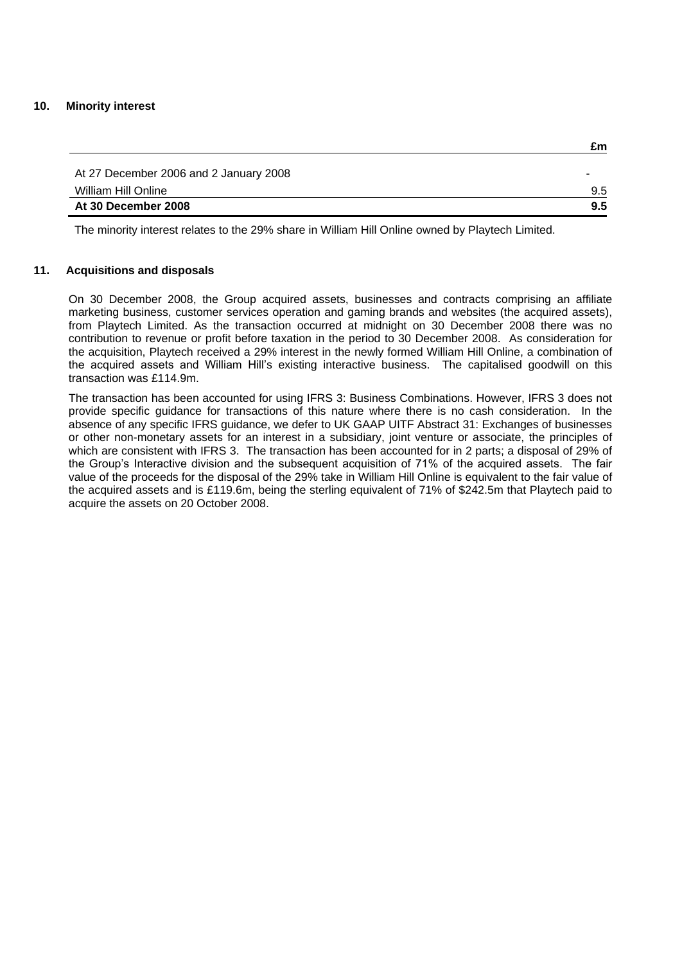### **10. Minority interest**

| At 30 December 2008                    | 9.5 |
|----------------------------------------|-----|
| William Hill Online                    | 9.5 |
| At 27 December 2006 and 2 January 2008 |     |

**£m**

The minority interest relates to the 29% share in William Hill Online owned by Playtech Limited.

## **11. Acquisitions and disposals**

On 30 December 2008, the Group acquired assets, businesses and contracts comprising an affiliate marketing business, customer services operation and gaming brands and websites (the acquired assets), from Playtech Limited. As the transaction occurred at midnight on 30 December 2008 there was no contribution to revenue or profit before taxation in the period to 30 December 2008. As consideration for the acquisition, Playtech received a 29% interest in the newly formed William Hill Online, a combination of the acquired assets and William Hill"s existing interactive business. The capitalised goodwill on this transaction was £114.9m.

The transaction has been accounted for using IFRS 3: Business Combinations. However, IFRS 3 does not provide specific guidance for transactions of this nature where there is no cash consideration. In the absence of any specific IFRS guidance, we defer to UK GAAP UITF Abstract 31: Exchanges of businesses or other non-monetary assets for an interest in a subsidiary, joint venture or associate, the principles of which are consistent with IFRS 3. The transaction has been accounted for in 2 parts; a disposal of 29% of the Group's Interactive division and the subsequent acquisition of 71% of the acquired assets. The fair value of the proceeds for the disposal of the 29% take in William Hill Online is equivalent to the fair value of the acquired assets and is £119.6m, being the sterling equivalent of 71% of \$242.5m that Playtech paid to acquire the assets on 20 October 2008.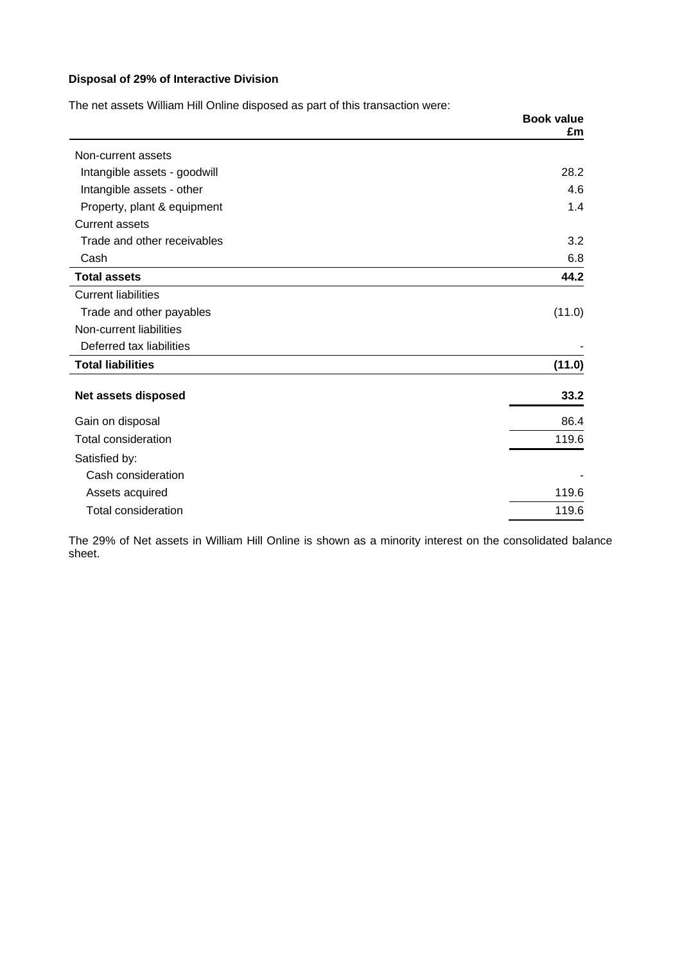## **Disposal of 29% of Interactive Division**

| The net assets William Hill Online disposed as part of this transaction were: |                         |  |
|-------------------------------------------------------------------------------|-------------------------|--|
|                                                                               | <b>Book value</b><br>£m |  |
| Non-current assets                                                            |                         |  |
| Intangible assets - goodwill                                                  | 28.2                    |  |
| Intangible assets - other                                                     | 4.6                     |  |
| Property, plant & equipment                                                   | 1.4                     |  |
| <b>Current assets</b>                                                         |                         |  |
| Trade and other receivables                                                   | 3.2                     |  |
| Cash                                                                          | 6.8                     |  |
| <b>Total assets</b>                                                           | 44.2                    |  |
| <b>Current liabilities</b>                                                    |                         |  |
| Trade and other payables                                                      | (11.0)                  |  |
| Non-current liabilities                                                       |                         |  |
| Deferred tax liabilities                                                      |                         |  |
| <b>Total liabilities</b>                                                      | (11.0)                  |  |
| Net assets disposed                                                           | 33.2                    |  |
| Gain on disposal                                                              | 86.4                    |  |
| <b>Total consideration</b>                                                    | 119.6                   |  |
| Satisfied by:                                                                 |                         |  |
| Cash consideration                                                            |                         |  |
| Assets acquired                                                               | 119.6                   |  |
| <b>Total consideration</b>                                                    | 119.6                   |  |

The 29% of Net assets in William Hill Online is shown as a minority interest on the consolidated balance sheet.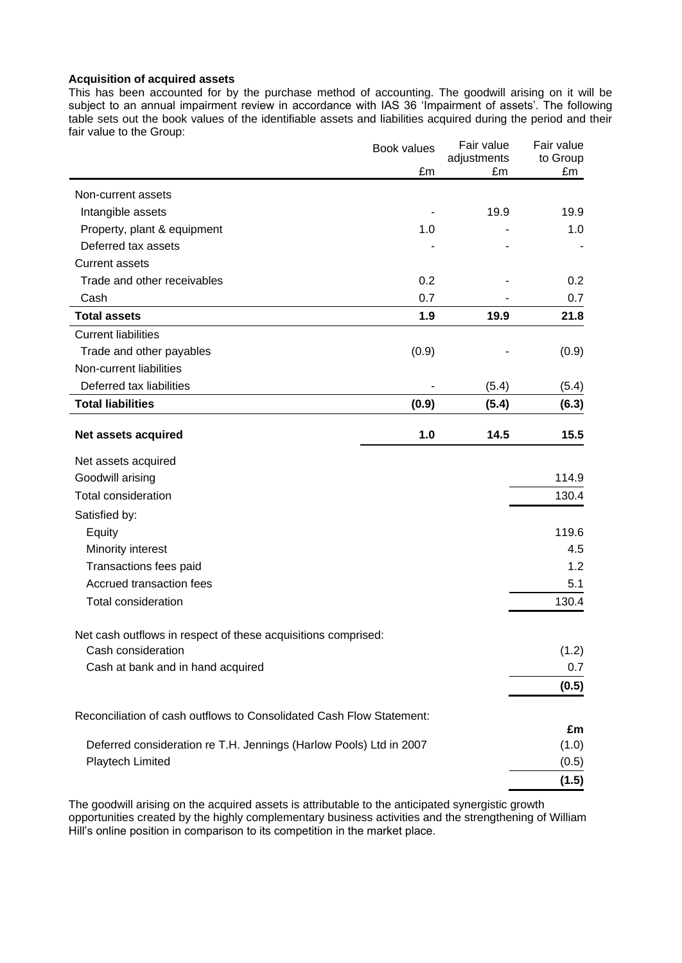### **Acquisition of acquired assets**

This has been accounted for by the purchase method of accounting. The goodwill arising on it will be subject to an annual impairment review in accordance with IAS 36 'Impairment of assets'. The following table sets out the book values of the identifiable assets and liabilities acquired during the period and their fair value to the Group:

|                                                                      | Book values | Fair value<br>adjustments | Fair value<br>to Group |
|----------------------------------------------------------------------|-------------|---------------------------|------------------------|
|                                                                      | £m          | £m                        | £m                     |
| Non-current assets                                                   |             |                           |                        |
| Intangible assets                                                    |             | 19.9                      | 19.9                   |
| Property, plant & equipment                                          | 1.0         |                           | 1.0                    |
| Deferred tax assets                                                  |             |                           |                        |
| <b>Current assets</b>                                                |             |                           |                        |
| Trade and other receivables                                          | 0.2         |                           | 0.2                    |
| Cash                                                                 | 0.7         |                           | 0.7                    |
| <b>Total assets</b>                                                  | 1.9         | 19.9                      | 21.8                   |
| <b>Current liabilities</b>                                           |             |                           |                        |
| Trade and other payables                                             | (0.9)       |                           | (0.9)                  |
| Non-current liabilities                                              |             |                           |                        |
| Deferred tax liabilities                                             |             | (5.4)                     | (5.4)                  |
| <b>Total liabilities</b>                                             | (0.9)       | (5.4)                     | (6.3)                  |
|                                                                      |             |                           |                        |
| Net assets acquired                                                  | 1.0         | 14.5                      | 15.5                   |
| Net assets acquired                                                  |             |                           |                        |
| Goodwill arising                                                     |             |                           | 114.9                  |
| <b>Total consideration</b>                                           |             |                           | 130.4                  |
| Satisfied by:                                                        |             |                           |                        |
| Equity                                                               |             |                           | 119.6                  |
| Minority interest                                                    |             |                           | 4.5                    |
| Transactions fees paid                                               |             |                           | 1.2                    |
| Accrued transaction fees                                             |             |                           | 5.1                    |
| <b>Total consideration</b>                                           |             |                           | 130.4                  |
|                                                                      |             |                           |                        |
| Net cash outflows in respect of these acquisitions comprised:        |             |                           |                        |
| Cash consideration                                                   |             |                           | (1.2)                  |
| Cash at bank and in hand acquired                                    |             |                           | 0.7                    |
|                                                                      |             |                           | (0.5)                  |
| Reconciliation of cash outflows to Consolidated Cash Flow Statement: |             |                           |                        |
|                                                                      |             |                           | £m                     |
| Deferred consideration re T.H. Jennings (Harlow Pools) Ltd in 2007   |             |                           | (1.0)                  |
| Playtech Limited                                                     |             |                           | (0.5)                  |
|                                                                      |             |                           | (1.5)                  |

The goodwill arising on the acquired assets is attributable to the anticipated synergistic growth opportunities created by the highly complementary business activities and the strengthening of William Hill"s online position in comparison to its competition in the market place.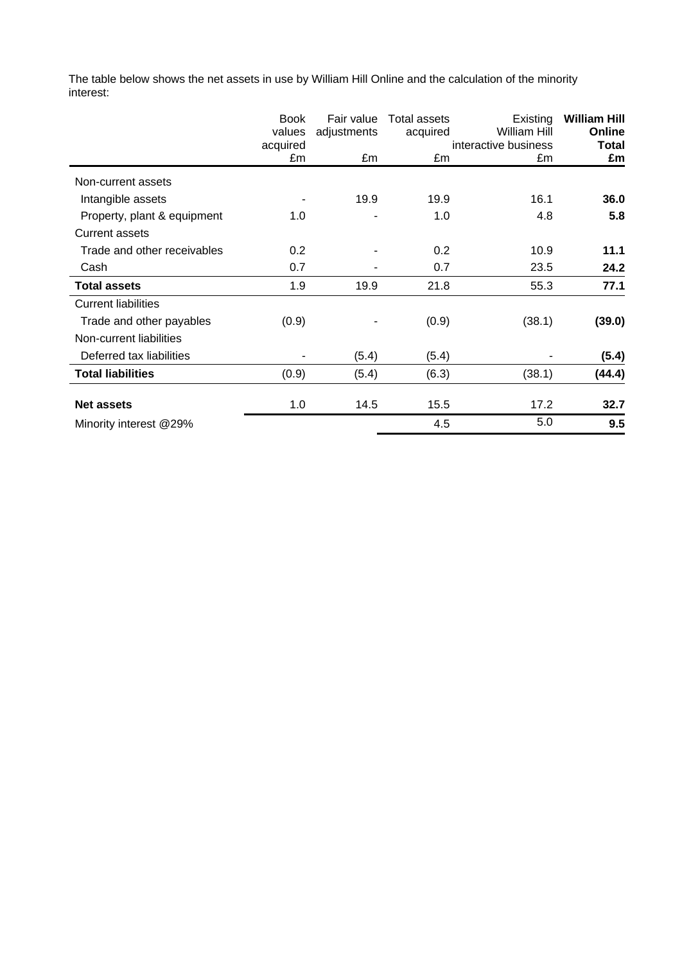The table below shows the net assets in use by William Hill Online and the calculation of the minority interest:

|                             | <b>Book</b> | Fair value  | <b>Total assets</b> | Existing             | <b>William Hill</b> |
|-----------------------------|-------------|-------------|---------------------|----------------------|---------------------|
|                             | values      | adjustments | acquired            | William Hill         | Online              |
|                             | acquired    |             |                     | interactive business | Total               |
|                             | £m          | £m          | £m                  | £m                   | £m                  |
| Non-current assets          |             |             |                     |                      |                     |
| Intangible assets           |             | 19.9        | 19.9                | 16.1                 | 36.0                |
| Property, plant & equipment | 1.0         |             | 1.0                 | 4.8                  | 5.8                 |
| <b>Current assets</b>       |             |             |                     |                      |                     |
| Trade and other receivables | 0.2         |             | 0.2                 | 10.9                 | 11.1                |
| Cash                        | 0.7         |             | 0.7                 | 23.5                 | 24.2                |
| <b>Total assets</b>         | 1.9         | 19.9        | 21.8                | 55.3                 | 77.1                |
| <b>Current liabilities</b>  |             |             |                     |                      |                     |
| Trade and other payables    | (0.9)       |             | (0.9)               | (38.1)               | (39.0)              |
| Non-current liabilities     |             |             |                     |                      |                     |
| Deferred tax liabilities    |             | (5.4)       | (5.4)               |                      | (5.4)               |
| <b>Total liabilities</b>    | (0.9)       | (5.4)       | (6.3)               | (38.1)               | (44.4)              |
| <b>Net assets</b>           | 1.0         | 14.5        | 15.5                | 17.2                 | 32.7                |
| Minority interest @29%      |             |             | 4.5                 | 5.0                  | 9.5                 |